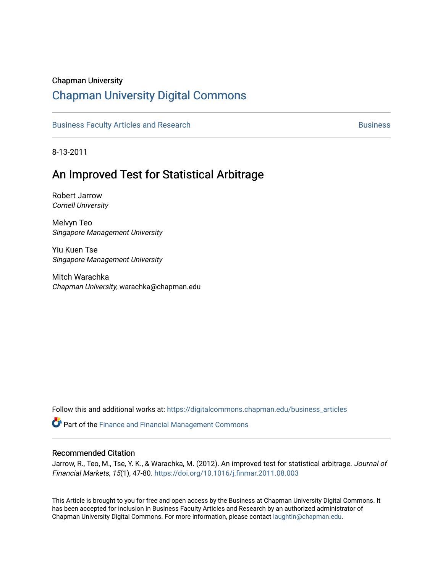# Chapman University

# [Chapman University Digital Commons](https://digitalcommons.chapman.edu/)

[Business Faculty Articles and Research](https://digitalcommons.chapman.edu/business_articles) [Business](https://digitalcommons.chapman.edu/business) **Business** Business

8-13-2011

# An Improved Test for Statistical Arbitrage

Robert Jarrow Cornell University

Melvyn Teo Singapore Management University

Yiu Kuen Tse Singapore Management University

Mitch Warachka Chapman University, warachka@chapman.edu

Follow this and additional works at: [https://digitalcommons.chapman.edu/business\\_articles](https://digitalcommons.chapman.edu/business_articles?utm_source=digitalcommons.chapman.edu%2Fbusiness_articles%2F117&utm_medium=PDF&utm_campaign=PDFCoverPages) 

Part of the [Finance and Financial Management Commons](http://network.bepress.com/hgg/discipline/631?utm_source=digitalcommons.chapman.edu%2Fbusiness_articles%2F117&utm_medium=PDF&utm_campaign=PDFCoverPages) 

# Recommended Citation

Jarrow, R., Teo, M., Tse, Y. K., & Warachka, M. (2012). An improved test for statistical arbitrage. Journal of Financial Markets, 15(1), 47-80. <https://doi.org/10.1016/j.finmar.2011.08.003>

This Article is brought to you for free and open access by the Business at Chapman University Digital Commons. It has been accepted for inclusion in Business Faculty Articles and Research by an authorized administrator of Chapman University Digital Commons. For more information, please contact [laughtin@chapman.edu](mailto:laughtin@chapman.edu).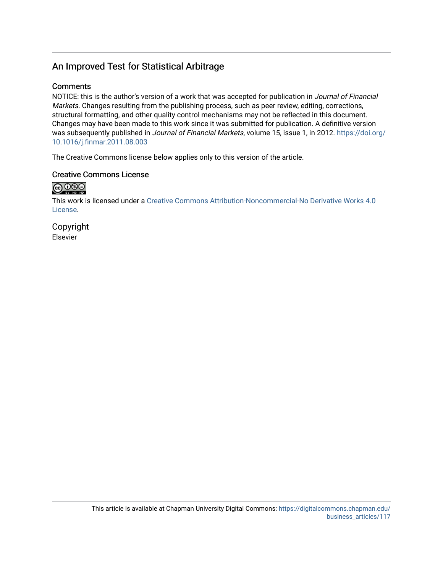# An Improved Test for Statistical Arbitrage

# **Comments**

NOTICE: this is the author's version of a work that was accepted for publication in Journal of Financial Markets. Changes resulting from the publishing process, such as peer review, editing, corrections, structural formatting, and other quality control mechanisms may not be reflected in this document. Changes may have been made to this work since it was submitted for publication. A definitive version was subsequently published in Journal of Financial Markets, volume 15, issue 1, in 2012. [https://doi.org/](https://doi.org/10.1016/j.finmar.2011.08.003) [10.1016/j.finmar.2011.08.003](https://doi.org/10.1016/j.finmar.2011.08.003) 

The Creative Commons license below applies only to this version of the article.

# Creative Commons License



This work is licensed under a [Creative Commons Attribution-Noncommercial-No Derivative Works 4.0](https://creativecommons.org/licenses/by-nc-nd/4.0/) [License](https://creativecommons.org/licenses/by-nc-nd/4.0/).

Copyright Elsevier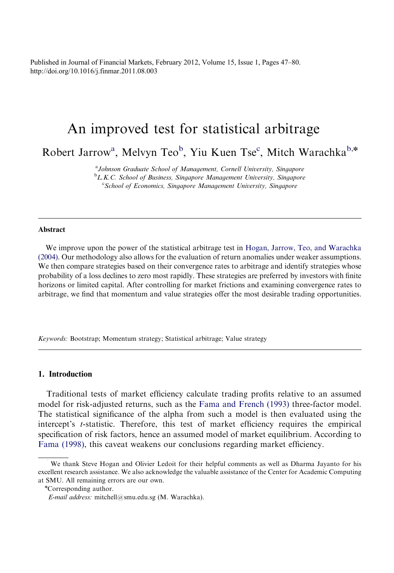Published in Journal of Financial Markets, February 2012, Volume 15, Issue 1, Pages 47–80. http://doi.org/10.1016/j.finmar.2011.08.003

# An improved test for statistical arbitrage

Robert Jarrow<sup>a</sup>, Melvyn Teo<sup>b</sup>, Yiu Kuen Tse<sup>c</sup>, Mitch Warachka<sup>b,\*</sup>

<sup>a</sup>Johnson Graduate School of Management, Cornell University, Singapore

<sup>b</sup>L.K.C. School of Business, Singapore Management University, Singapore <sup>c</sup>School of Economics, Singapore Management University, Singapore

#### Abstract

We improve upon the power of the statistical arbitrage test in [Hogan, Jarrow, Teo, and Warachka](#page-35-0) [\(2004\).](#page-35-0) Our methodology also allows for the evaluation of return anomalies under weaker assumptions. We then compare strategies based on their convergence rates to arbitrage and identify strategies whose probability of a loss declines to zero most rapidly. These strategies are preferred by investors with finite horizons or limited capital. After controlling for market frictions and examining convergence rates to arbitrage, we find that momentum and value strategies offer the most desirable trading opportunities.

Keywords: Bootstrap; Momentum strategy; Statistical arbitrage; Value strategy

## 1. Introduction

Traditional tests of market efficiency calculate trading profits relative to an assumed model for risk-adjusted returns, such as the [Fama and French \(1993\)](#page-35-0) three-factor model. The statistical significance of the alpha from such a model is then evaluated using the intercept's *t*-statistic. Therefore, this test of market efficiency requires the empirical specification of risk factors, hence an assumed model of market equilibrium. According to [Fama \(1998\)](#page-35-0), this caveat weakens our conclusions regarding market efficiency.

We thank Steve Hogan and Olivier Ledoit for their helpful comments as well as Dharma Jayanto for his excellent research assistance. We also acknowledge the valuable assistance of the Center for Academic Computing at SMU. All remaining errors are our own.

Corresponding author.

E-mail address: [mitchell@smu.edu.sg \(M. Warachka\)](mailto:mitchell@smu.edu.sg).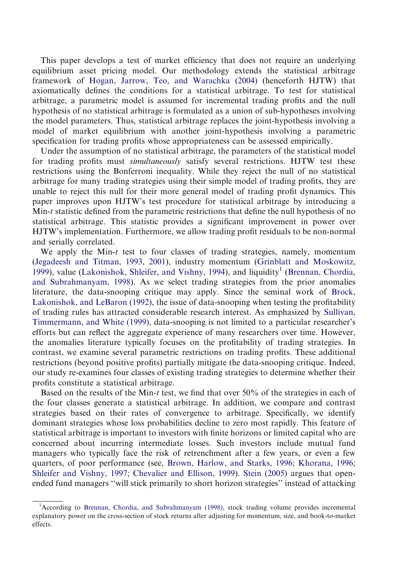This paper develops a test of market efficiency that does not require an underlying equilibrium asset pricing model. Our methodology extends the statistical arbitrage framework of [Hogan, Jarrow, Teo, and Warachka \(2004\)](#page-35-0) (henceforth HJTW) that axiomatically defines the conditions for a statistical arbitrage. To test for statistical arbitrage, a parametric model is assumed for incremental trading profits and the null hypothesis of no statistical arbitrage is formulated as a union of sub-hypotheses involving the model parameters. Thus, statistical arbitrage replaces the joint-hypothesis involving a model of market equilibrium with another joint-hypothesis involving a parametric specification for trading profits whose appropriateness can be assessed empirically.

Under the assumption of no statistical arbitrage, the parameters of the statistical model for trading profits must simultaneously satisfy several restrictions. HJTW test these restrictions using the Bonferroni inequality. While they reject the null of no statistical arbitrage for many trading strategies using their simple model of trading profits, they are unable to reject this null for their more general model of trading profit dynamics. This paper improves upon HJTW's test procedure for statistical arbitrage by introducing a Min-t statistic defined from the parametric restrictions that define the null hypothesis of no statistical arbitrage. This statistic provides a significant improvement in power over HJTW's implementation. Furthermore, we allow trading profit residuals to be non-normal and serially correlated.

We apply the Min- $t$  test to four classes of trading strategies, namely, momentum ([Jegadeesh and Titman, 1993](#page-35-0), [2001\)](#page-35-0), industry momentum ([Grinblatt and Moskowitz,](#page-35-0) [1999](#page-35-0)), value ([Lakonishok, Shleifer, and Vishny, 1994](#page-35-0)), and liquidity<sup>1</sup> [\(Brennan, Chordia,](#page-34-0) [and Subrahmanyam, 1998](#page-34-0)). As we select trading strategies from the prior anomalies literature, the data-snooping critique may apply. Since the seminal work of [Brock,](#page-35-0) [Lakonishok, and LeBaron \(1992\)](#page-35-0), the issue of data-snooping when testing the profitability of trading rules has attracted considerable research interest. As emphasized by [Sullivan,](#page-35-0) [Timmermann, and White \(1999\)](#page-35-0), data-snooping is not limited to a particular researcher's efforts but can reflect the aggregate experience of many researchers over time. However, the anomalies literature typically focuses on the profitability of trading strategies. In contrast, we examine several parametric restrictions on trading profits. These additional restrictions (beyond positive profits) partially mitigate the data-snooping critique. Indeed, our study re-examines four classes of existing trading strategies to determine whether their profits constitute a statistical arbitrage.

Based on the results of the Min-t test, we find that over 50% of the strategies in each of the four classes generate a statistical arbitrage. In addition, we compare and contrast strategies based on their rates of convergence to arbitrage. Specifically, we identify dominant strategies whose loss probabilities decline to zero most rapidly. This feature of statistical arbitrage is important to investors with finite horizons or limited capital who are concerned about incurring intermediate losses. Such investors include mutual fund managers who typically face the risk of retrenchment after a few years, or even a few quarters, of poor performance (see, [Brown, Harlow, and Starks, 1996](#page-35-0); [Khorana, 1996;](#page-35-0) [Shleifer and Vishny, 1997](#page-35-0); [Chevalier and Ellison, 1999](#page-35-0)). [Stein \(2005\)](#page-35-0) argues that openended fund managers ''will stick primarily to short horizon strategies'' instead of attacking

<sup>&</sup>lt;sup>1</sup>According to [Brennan, Chordia, and Subrahmanyam \(1998\),](#page-34-0) stock trading volume provides incremental explanatory power on the cross-section of stock returns after adjusting for momentum, size, and book-to-market effects.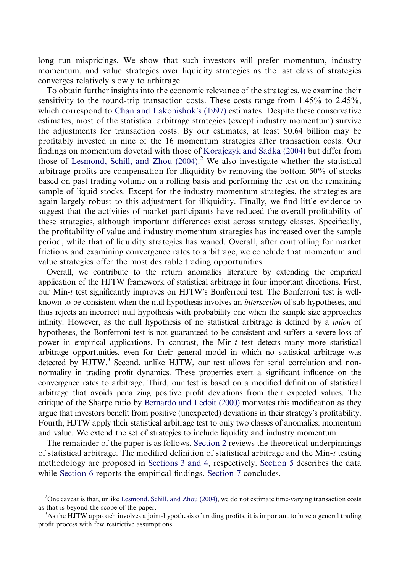long run mispricings. We show that such investors will prefer momentum, industry momentum, and value strategies over liquidity strategies as the last class of strategies converges relatively slowly to arbitrage.

To obtain further insights into the economic relevance of the strategies, we examine their sensitivity to the round-trip transaction costs. These costs range from  $1.45\%$  to  $2.45\%$ . which correspond to [Chan and Lakonishok's \(1997\)](#page-35-0) estimates. Despite these conservative estimates, most of the statistical arbitrage strategies (except industry momentum) survive the adjustments for transaction costs. By our estimates, at least \$0.64 billion may be profitably invested in nine of the 16 momentum strategies after transaction costs. Our findings on momentum dovetail with those of [Korajczyk and Sadka \(2004\)](#page-35-0) but differ from those of [Lesmond, Schill, and Zhou \(2004\)](#page-35-0). <sup>2</sup> We also investigate whether the statistical arbitrage profits are compensation for illiquidity by removing the bottom 50% of stocks based on past trading volume on a rolling basis and performing the test on the remaining sample of liquid stocks. Except for the industry momentum strategies, the strategies are again largely robust to this adjustment for illiquidity. Finally, we find little evidence to suggest that the activities of market participants have reduced the overall profitability of these strategies, although important differences exist across strategy classes. Specifically, the profitability of value and industry momentum strategies has increased over the sample period, while that of liquidity strategies has waned. Overall, after controlling for market frictions and examining convergence rates to arbitrage, we conclude that momentum and value strategies offer the most desirable trading opportunities.

Overall, we contribute to the return anomalies literature by extending the empirical application of the HJTW framework of statistical arbitrage in four important directions. First, our Min-t test significantly improves on HJTW's Bonferroni test. The Bonferroni test is wellknown to be consistent when the null hypothesis involves an intersection of sub-hypotheses, and thus rejects an incorrect null hypothesis with probability one when the sample size approaches infinity. However, as the null hypothesis of no statistical arbitrage is defined by a union of hypotheses, the Bonferroni test is not guaranteed to be consistent and suffers a severe loss of power in empirical applications. In contrast, the Min-t test detects many more statistical arbitrage opportunities, even for their general model in which no statistical arbitrage was detected by  $HJTW$ .<sup>3</sup> Second, unlike  $HJTW$ , our test allows for serial correlation and nonnormality in trading profit dynamics. These properties exert a significant influence on the convergence rates to arbitrage. Third, our test is based on a modified definition of statistical arbitrage that avoids penalizing positive profit deviations from their expected values. The critique of the Sharpe ratio by [Bernardo and Ledoit \(2000\)](#page-34-0) motivates this modification as they argue that investors benefit from positive (unexpected) deviations in their strategy's profitability. Fourth, HJTW apply their statistical arbitrage test to only two classes of anomalies: momentum and value. We extend the set of strategies to include liquidity and industry momentum.

The remainder of the paper is as follows. [Section 2](#page-5-0) reviews the theoretical underpinnings of statistical arbitrage. The modified definition of statistical arbitrage and the Min-t testing methodology are proposed in [Sections 3 and 4](#page-7-0), respectively. [Section 5](#page-13-0) describes the data while [Section 6](#page-14-0) reports the empirical findings. [Section 7](#page-30-0) concludes.

<sup>&</sup>lt;sup>2</sup>One caveat is that, unlike [Lesmond, Schill, and Zhou \(2004\)](#page-35-0), we do not estimate time-varying transaction costs as that is beyond the scope of the paper.

 $A$ s the HJTW approach involves a joint-hypothesis of trading profits, it is important to have a general trading profit process with few restrictive assumptions.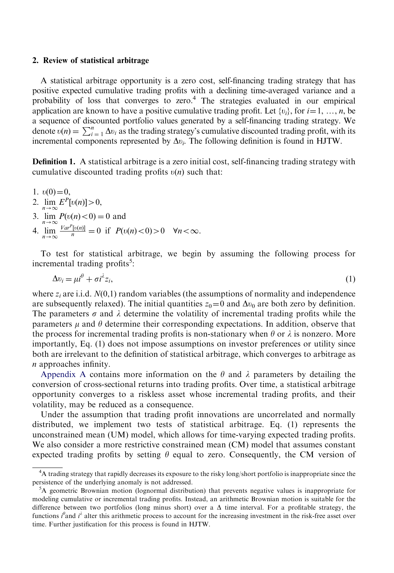# <span id="page-5-0"></span>2. Review of statistical arbitrage

A statistical arbitrage opportunity is a zero cost, self-financing trading strategy that has positive expected cumulative trading profits with a declining time-averaged variance and a probability of loss that converges to zero.4 The strategies evaluated in our empirical application are known to have a positive cumulative trading profit. Let  $\{v_i\}$ , for  $i=1,\dots,n$ , be a sequence of discounted portfolio values generated by a self-financing trading strategy. We denote  $v(n) = \sum_{i=1}^{n} \Delta v_i$  as the trading strategy's cumulative discounted trading profit, with its incremental components represented by  $\Delta v_i$ . The following definition is found in HJTW.

Definition 1. A statistical arbitrage is a zero initial cost, self-financing trading strategy with cumulative discounted trading profits  $v(n)$  such that:

1. 
$$
v(0)=0
$$
,  
2.  $\lim_{x \to 0} F(x) \ge 0$ 

2. 
$$
\lim_{n \to \infty} E^P[v(n)] > 0,
$$

- 3. lim  $P(v(n) < 0) = 0$  and
- 4.  $\lim_{n \to \infty} \frac{Var^{P}[v(n)]}{n} = 0$  if  $P(v(n) < 0) > 0 \quad \forall n < \infty$ .

To test for statistical arbitrage, we begin by assuming the following process for incremental trading profits<sup>5</sup>:

$$
\Delta v_i = \mu i^{\theta} + \sigma i^{\lambda} z_i,
$$
\n<sup>(1)</sup>

where  $z_i$  are i.i.d.  $N(0,1)$  random variables (the assumptions of normality and independence are subsequently relaxed). The initial quantities  $z_0 = 0$  and  $\Delta v_0$  are both zero by definition. The parameters  $\sigma$  and  $\lambda$  determine the volatility of incremental trading profits while the parameters  $\mu$  and  $\theta$  determine their corresponding expectations. In addition, observe that the process for incremental trading profits is non-stationary when  $\theta$  or  $\lambda$  is nonzero. More importantly, Eq. (1) does not impose assumptions on investor preferences or utility since both are irrelevant to the definition of statistical arbitrage, which converges to arbitrage as n approaches infinity.

[Appendix A](#page-31-0) contains more information on the  $\theta$  and  $\lambda$  parameters by detailing the conversion of cross-sectional returns into trading profits. Over time, a statistical arbitrage opportunity converges to a riskless asset whose incremental trading profits, and their volatility, may be reduced as a consequence.

Under the assumption that trading profit innovations are uncorrelated and normally distributed, we implement two tests of statistical arbitrage. Eq. (1) represents the unconstrained mean (UM) model, which allows for time-varying expected trading profits. We also consider a more restrictive constrained mean (CM) model that assumes constant expected trading profits by setting  $\theta$  equal to zero. Consequently, the CM version of

<sup>4</sup> A trading strategy that rapidly decreases its exposure to the risky long/short portfolio is inappropriate since the persistence of the underlying anomaly is not addressed.

<sup>&</sup>lt;sup>5</sup>A geometric Brownian motion (lognormal distribution) that prevents negative values is inappropriate for modeling cumulative or incremental trading profits. Instead, an arithmetic Brownian motion is suitable for the difference between two portfolios (long minus short) over a  $\Delta$  time interval. For a profitable strategy, the functions  $i^{\theta}$  and  $i^{\lambda}$  alter this arithmetic process to account for the increasing investment in the risk-free asset over time. Further justification for this process is found in HJTW.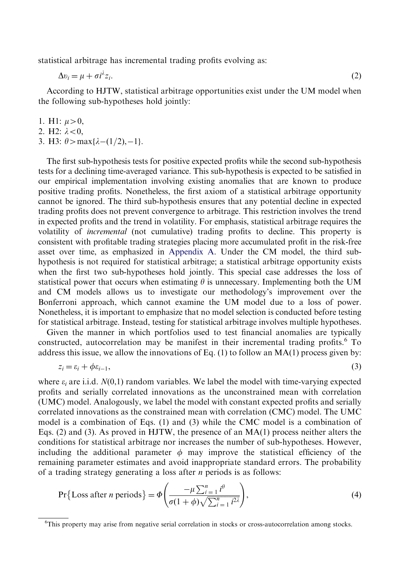statistical arbitrage has incremental trading profits evolving as:

$$
\Delta v_i = \mu + \sigma i^{\lambda} z_i. \tag{2}
$$

According to HJTW, statistical arbitrage opportunities exist under the UM model when the following sub-hypotheses hold jointly:

- 1. H1:  $\mu > 0$ ,
- 2. H2:  $\lambda < 0$ ,
- 3. H3:  $\theta$  > max $\{\lambda-(1/2), -1\}$ .

The first sub-hypothesis tests for positive expected profits while the second sub-hypothesis tests for a declining time-averaged variance. This sub-hypothesis is expected to be satisfied in our empirical implementation involving existing anomalies that are known to produce positive trading profits. Nonetheless, the first axiom of a statistical arbitrage opportunity cannot be ignored. The third sub-hypothesis ensures that any potential decline in expected trading profits does not prevent convergence to arbitrage. This restriction involves the trend in expected profits and the trend in volatility. For emphasis, statistical arbitrage requires the volatility of incremental (not cumulative) trading profits to decline. This property is consistent with profitable trading strategies placing more accumulated profit in the risk-free asset over time, as emphasized in [Appendix A](#page-31-0). Under the CM model, the third subhypothesis is not required for statistical arbitrage; a statistical arbitrage opportunity exists when the first two sub-hypotheses hold jointly. This special case addresses the loss of statistical power that occurs when estimating  $\theta$  is unnecessary. Implementing both the UM and CM models allows us to investigate our methodology's improvement over the Bonferroni approach, which cannot examine the UM model due to a loss of power. Nonetheless, it is important to emphasize that no model selection is conducted before testing for statistical arbitrage. Instead, testing for statistical arbitrage involves multiple hypotheses.

Given the manner in which portfolios used to test financial anomalies are typically constructed, autocorrelation may be manifest in their incremental trading profits.<sup>6</sup> To address this issue, we allow the innovations of Eq.  $(1)$  to follow an MA $(1)$  process given by:

$$
z_i = \varepsilon_i + \phi \varepsilon_{i-1},\tag{3}
$$

where  $\varepsilon_i$  are i.i.d.  $N(0,1)$  random variables. We label the model with time-varying expected profits and serially correlated innovations as the unconstrained mean with correlation (UMC) model. Analogously, we label the model with constant expected profits and serially correlated innovations as the constrained mean with correlation (CMC) model. The UMC model is a combination of Eqs. (1) and (3) while the CMC model is a combination of Eqs. (2) and (3). As proved in HJTW, the presence of an  $MA(1)$  process neither alters the conditions for statistical arbitrage nor increases the number of sub-hypotheses. However, including the additional parameter  $\phi$  may improve the statistical efficiency of the remaining parameter estimates and avoid inappropriate standard errors. The probability of a trading strategy generating a loss after n periods is as follows:

$$
\Pr\{\text{Loss after } n \text{ periods}\} = \Phi\left(\frac{-\mu \sum_{i=1}^{n} i^{\theta}}{\sigma(1+\phi)\sqrt{\sum_{i=1}^{n} i^{2\lambda}}}\right),\tag{4}
$$

<sup>6</sup> This property may arise from negative serial correlation in stocks or cross-autocorrelation among stocks.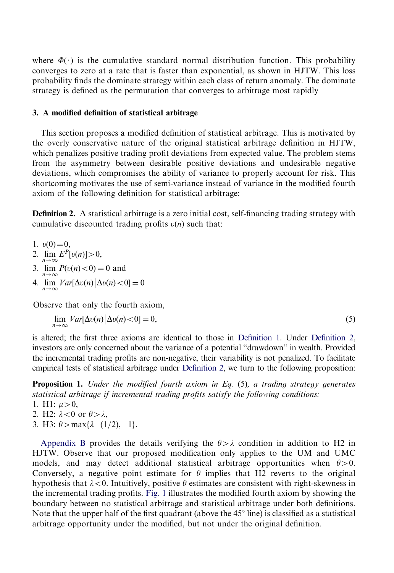<span id="page-7-0"></span>where  $\Phi(\cdot)$  is the cumulative standard normal distribution function. This probability converges to zero at a rate that is faster than exponential, as shown in HJTW. This loss probability finds the dominate strategy within each class of return anomaly. The dominate strategy is defined as the permutation that converges to arbitrage most rapidly

### 3. A modified definition of statistical arbitrage

This section proposes a modified definition of statistical arbitrage. This is motivated by the overly conservative nature of the original statistical arbitrage definition in HJTW, which penalizes positive trading profit deviations from expected value. The problem stems from the asymmetry between desirable positive deviations and undesirable negative deviations, which compromises the ability of variance to properly account for risk. This shortcoming motivates the use of semi-variance instead of variance in the modified fourth axiom of the following definition for statistical arbitrage:

Definition 2. A statistical arbitrage is a zero initial cost, self-financing trading strategy with cumulative discounted trading profits  $v(n)$  such that:

- 1.  $v(0) = 0$ .
- 2.  $\lim_{n\to\infty} E^P[v(n)] > 0,$
- 3. lim  $P(v(n) < 0) = 0$  and
- 4.  $\lim_{n\to\infty} Var[\Delta v(n)|\Delta v(n)\langle 0] = 0$

Observe that only the fourth axiom,

$$
\lim_{n \to \infty} Var[\Delta v(n) | \Delta v(n) < 0] = 0,\tag{5}
$$

is altered; the first three axioms are identical to those in [Definition 1](#page-5-0). Under Definition 2, investors are only concerned about the variance of a potential ''drawdown'' in wealth. Provided the incremental trading profits are non-negative, their variability is not penalized. To facilitate empirical tests of statistical arbitrage under Definition 2, we turn to the following proposition:

**Proposition 1.** Under the modified fourth axiom in Eq.  $(5)$ , a trading strategy generates statistical arbitrage if incremental trading profits satisfy the following conditions:

- 1. H1:  $\mu > 0$ ,
- 2. H2:  $\lambda < 0$  or  $\theta > \lambda$ ,
- 3. H3:  $\theta$  > max $\{\lambda-(1/2), -1\}$ .

[Appendix B](#page-32-0) provides the details verifying the  $\theta > \lambda$  condition in addition to H2 in HJTW. Observe that our proposed modification only applies to the UM and UMC models, and may detect additional statistical arbitrage opportunities when  $\theta > 0$ . Conversely, a negative point estimate for  $\theta$  implies that H2 reverts to the original hypothesis that  $\lambda$  < 0. Intuitively, positive  $\theta$  estimates are consistent with right-skewness in the incremental trading profits. [Fig. 1](#page-8-0) illustrates the modified fourth axiom by showing the boundary between no statistical arbitrage and statistical arbitrage under both definitions. Note that the upper half of the first quadrant (above the  $45^{\circ}$  line) is classified as a statistical arbitrage opportunity under the modified, but not under the original definition.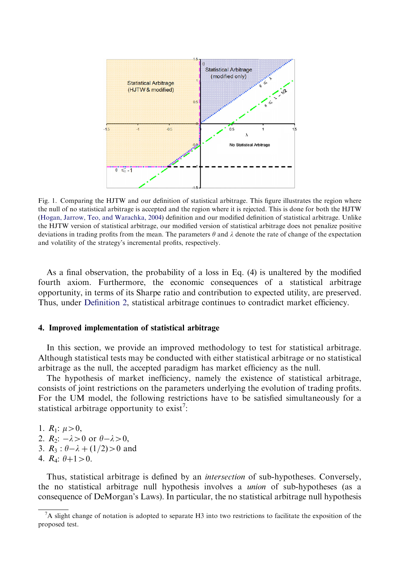<span id="page-8-0"></span>

Fig. 1. Comparing the HJTW and our definition of statistical arbitrage. This figure illustrates the region where the null of no statistical arbitrage is accepted and the region where it is rejected. This is done for both the HJTW [\(Hogan, Jarrow, Teo, and Warachka, 2004\)](#page-35-0) definition and our modified definition of statistical arbitrage. Unlike the HJTW version of statistical arbitrage, our modified version of statistical arbitrage does not penalize positive deviations in trading profits from the mean. The parameters  $\theta$  and  $\lambda$  denote the rate of change of the expectation and volatility of the strategy's incremental profits, respectively.

As a final observation, the probability of a loss in Eq. (4) is unaltered by the modified fourth axiom. Furthermore, the economic consequences of a statistical arbitrage opportunity, in terms of its Sharpe ratio and contribution to expected utility, are preserved. Thus, under [Definition 2,](#page-7-0) statistical arbitrage continues to contradict market efficiency.

#### 4. Improved implementation of statistical arbitrage

In this section, we provide an improved methodology to test for statistical arbitrage. Although statistical tests may be conducted with either statistical arbitrage or no statistical arbitrage as the null, the accepted paradigm has market efficiency as the null.

The hypothesis of market inefficiency, namely the existence of statistical arbitrage, consists of joint restrictions on the parameters underlying the evolution of trading profits. For the UM model, the following restrictions have to be satisfied simultaneously for a statistical arbitrage opportunity to exist<sup>7</sup>:

1.  $R_1$ :  $\mu > 0$ ,

- 2.  $R_2$ :  $-\lambda > 0$  or  $\theta \lambda > 0$ ,
- 3.  $R_3$ :  $\theta \lambda + (1/2) > 0$  and
- 4.  $R_4$ :  $\theta + 1 > 0$ .

Thus, statistical arbitrage is defined by an intersection of sub-hypotheses. Conversely, the no statistical arbitrage null hypothesis involves a union of sub-hypotheses (as a consequence of DeMorgan's Laws). In particular, the no statistical arbitrage null hypothesis

<sup>&</sup>lt;sup>7</sup>A slight change of notation is adopted to separate H3 into two restrictions to facilitate the exposition of the proposed test.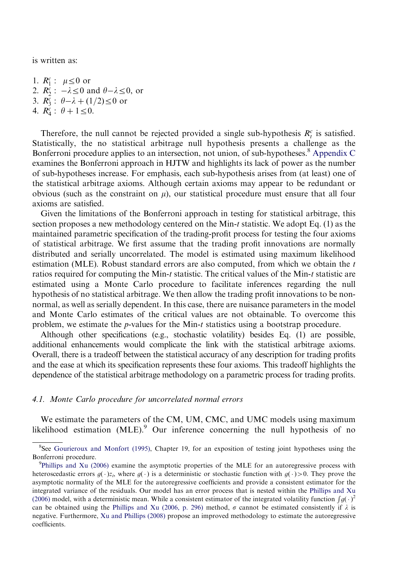<span id="page-9-0"></span>is written as:

1.  $R_1^c$ :  $\mu \le 0$  or 2.  $R_2^c$ :  $-\lambda \le 0$  and  $\theta - \lambda \le 0$ , or 3.  $R_3^c$ :  $\theta - \lambda + (1/2) \le 0$  or 4.  $R_4^c$ :  $\theta + 1 \le 0$ .

Therefore, the null cannot be rejected provided a single sub-hypothesis  $R_t^c$  is satisfied. Statistically, the no statistical arbitrage null hypothesis presents a challenge as the Bonferroni procedure applies to an intersection, not union, of sub-hypotheses.<sup>8</sup> [Appendix C](#page-33-0) examines the Bonferroni approach in HJTW and highlights its lack of power as the number of sub-hypotheses increase. For emphasis, each sub-hypothesis arises from (at least) one of the statistical arbitrage axioms. Although certain axioms may appear to be redundant or obvious (such as the constraint on  $\mu$ ), our statistical procedure must ensure that all four axioms are satisfied.

Given the limitations of the Bonferroni approach in testing for statistical arbitrage, this section proposes a new methodology centered on the Min-t statistic. We adopt Eq. (1) as the maintained parametric specification of the trading-profit process for testing the four axioms of statistical arbitrage. We first assume that the trading profit innovations are normally distributed and serially uncorrelated. The model is estimated using maximum likelihood estimation (MLE). Robust standard errors are also computed, from which we obtain the  $t$ ratios required for computing the Min-t statistic. The critical values of the Min-t statistic are estimated using a Monte Carlo procedure to facilitate inferences regarding the null hypothesis of no statistical arbitrage. We then allow the trading profit innovations to be nonnormal, as well as serially dependent. In this case, there are nuisance parameters in the model and Monte Carlo estimates of the critical values are not obtainable. To overcome this problem, we estimate the p-values for the Min-t statistics using a bootstrap procedure.

Although other specifications (e.g., stochastic volatility) besides Eq. (1) are possible, additional enhancements would complicate the link with the statistical arbitrage axioms. Overall, there is a tradeoff between the statistical accuracy of any description for trading profits and the ease at which its specification represents these four axioms. This tradeoff highlights the dependence of the statistical arbitrage methodology on a parametric process for trading profits.

#### 4.1. Monte Carlo procedure for uncorrelated normal errors

We estimate the parameters of the CM, UM, CMC, and UMC models using maximum likelihood estimation  $(MLE)$ .<sup>9</sup> Our inference concerning the null hypothesis of no

<sup>8</sup> See [Gourieroux and Monfort \(1995\)](#page-35-0), Chapter 19, for an exposition of testing joint hypotheses using the Bonferroni procedure.

<sup>9</sup> [Phillips and Xu \(2006\)](#page-35-0) examine the asymptotic properties of the MLE for an autoregressive process with heteroscedastic errors  $g(\cdot)z_i$ , where  $g(\cdot)$  is a deterministic or stochastic function with  $g(\cdot) > 0$ . They prove the asymptotic normality of the MLE for the autoregressive coefficients and provide a consistent estimator for the integrated variance of the residuals. Our model has an error process that is nested within the [Phillips and Xu](#page-35-0) [\(2006\)](#page-35-0) model, with a deterministic mean. While a consistent estimator of the integrated volatility function  $\int g(\cdot)^2$ can be obtained using the [Phillips and Xu \(2006, p. 296\)](#page-35-0) method,  $\sigma$  cannot be estimated consistently if  $\lambda$  is negative. Furthermore, [Xu and Phillips \(2008\)](#page-35-0) propose an improved methodology to estimate the autoregressive coefficients.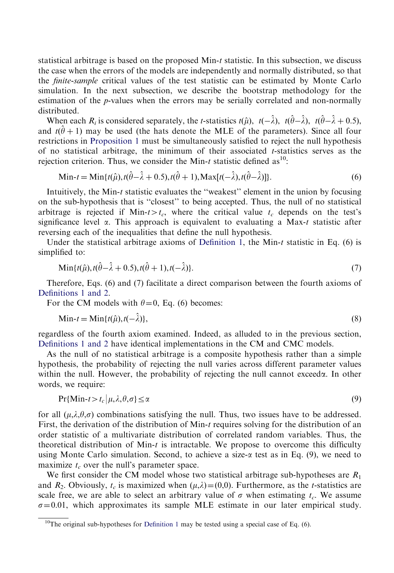statistical arbitrage is based on the proposed Min-t statistic. In this subsection, we discuss the case when the errors of the models are independently and normally distributed, so that the finite-sample critical values of the test statistic can be estimated by Monte Carlo simulation. In the next subsection, we describe the bootstrap methodology for the estimation of the p-values when the errors may be serially correlated and non-normally distributed.

When each  $R_i$  is considered separately, the *t*-statistics  $t(\hat{\mu})$ ,  $t(-\hat{\lambda})$ ,  $t(\hat{\theta} - \hat{\lambda})$ ,  $t(\hat{\theta} - \hat{\lambda} + 0.5)$ , and  $t(\hat{\theta} + 1)$  may be used (the hats denote the MLE of the parameters). Since all four restrictions in [Proposition 1](#page-7-0) must be simultaneously satisfied to reject the null hypothesis of no statistical arbitrage, the minimum of their associated t-statistics serves as the rejection criterion. Thus, we consider the Min-t statistic defined as  $10$ .

Min-t = Min{
$$
t(\hat{\mu}), t(\hat{\theta}-\hat{\lambda}+0.5), t(\hat{\theta}+1), \text{Max}[t(-\hat{\lambda}), t(\hat{\theta}-\hat{\lambda})]
$$
} (6)

Intuitively, the Min-t statistic evaluates the ''weakest'' element in the union by focusing on the sub-hypothesis that is ''closest'' to being accepted. Thus, the null of no statistical arbitrage is rejected if Min-t  $\geq t_c$ , where the critical value  $t_c$  depends on the test's significance level  $\alpha$ . This approach is equivalent to evaluating a Max-t statistic after reversing each of the inequalities that define the null hypothesis.

Under the statistical arbitrage axioms of [Definition 1,](#page-5-0) the Min-t statistic in Eq.  $(6)$  is simplified to:

$$
\text{Min}\{t(\hat{\mu}), t(\hat{\theta} - \hat{\lambda} + 0.5), t(\hat{\theta} + 1), t(-\hat{\lambda})\}.
$$
\n<sup>(7)</sup>

Therefore, Eqs. (6) and (7) facilitate a direct comparison between the fourth axioms of [Definitions 1 and 2.](#page-5-0)

For the CM models with  $\theta = 0$ , Eq. (6) becomes:

$$
\text{Min-}t = \text{Min}\{t(\hat{\mu}), t(-\hat{\lambda})\},\tag{8}
$$

regardless of the fourth axiom examined. Indeed, as alluded to in the previous section, [Definitions 1 and 2](#page-5-0) have identical implementations in the CM and CMC models.

As the null of no statistical arbitrage is a composite hypothesis rather than a simple hypothesis, the probability of rejecting the null varies across different parameter values within the null. However, the probability of rejecting the null cannot exceed  $\alpha$ . In other words, we require:

$$
\Pr{\text{Min-}t > t_c | \mu, \lambda, \theta, \sigma} \le \alpha \tag{9}
$$

for all  $(\mu,\lambda,\theta,\sigma)$  combinations satisfying the null. Thus, two issues have to be addressed. First, the derivation of the distribution of Min-t requires solving for the distribution of an order statistic of a multivariate distribution of correlated random variables. Thus, the theoretical distribution of Min-t is intractable. We propose to overcome this difficulty using Monte Carlo simulation. Second, to achieve a size- $\alpha$  test as in Eq. (9), we need to maximize  $t_c$  over the null's parameter space.

We first consider the CM model whose two statistical arbitrage sub-hypotheses are  $R_1$ and  $R_2$ . Obviously,  $t_c$  is maximized when  $(\mu,\lambda)=(0,0)$ . Furthermore, as the t-statistics are scale free, we are able to select an arbitrary value of  $\sigma$  when estimating  $t_c$ . We assume  $\sigma = 0.01$ , which approximates its sample MLE estimate in our later empirical study.

<sup>&</sup>lt;sup>10</sup>The original sub-hypotheses for [Definition 1](#page-5-0) may be tested using a special case of Eq. (6).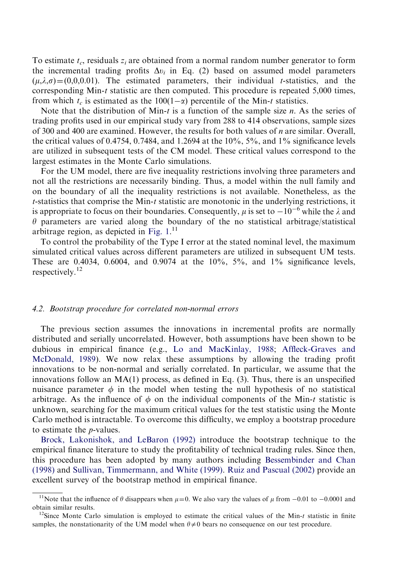<span id="page-11-0"></span>To estimate  $t_c$ , residuals  $z_i$  are obtained from a normal random number generator to form the incremental trading profits  $\Delta v_i$  in Eq. (2) based on assumed model parameters  $(\mu,\lambda,\sigma)=(0,0,0.01)$ . The estimated parameters, their individual t-statistics, and the corresponding Min-t statistic are then computed. This procedure is repeated  $5,000$  times, from which  $t_c$  is estimated as the  $100(1-\alpha)$  percentile of the Min-t statistics.

Note that the distribution of Min-t is a function of the sample size  $n$ . As the series of trading profits used in our empirical study vary from 288 to 414 observations, sample sizes of 300 and 400 are examined. However, the results for both values of  $n$  are similar. Overall, the critical values of 0.4754, 0.7484, and 1.2694 at the  $10\%$ ,  $5\%$ , and  $1\%$  significance levels are utilized in subsequent tests of the CM model. These critical values correspond to the largest estimates in the Monte Carlo simulations.

For the UM model, there are five inequality restrictions involving three parameters and not all the restrictions are necessarily binding. Thus, a model within the null family and on the boundary of all the inequality restrictions is not available. Nonetheless, as the  $t$ -statistics that comprise the Min- $t$  statistic are monotonic in the underlying restrictions, it is appropriate to focus on their boundaries. Consequently,  $\mu$  is set to  $-10^{-6}$  while the  $\lambda$  and  $\theta$  parameters are varied along the boundary of the no statistical arbitrage/statistical arbitrage region, as depicted in Fig.  $1.^{11}$ 

To control the probability of the Type I error at the stated nominal level, the maximum simulated critical values across different parameters are utilized in subsequent UM tests. These are 0.4034, 0.6004, and 0.9074 at the  $10\%$ ,  $5\%$ , and  $1\%$  significance levels, respectively.<sup>12</sup>

#### 4.2. Bootstrap procedure for correlated non-normal errors

The previous section assumes the innovations in incremental profits are normally distributed and serially uncorrelated. However, both assumptions have been shown to be dubious in empirical finance (e.g., [Lo and MacKinlay, 1988](#page-35-0); [Affleck-Graves and](#page-34-0) [McDonald, 1989\)](#page-34-0). We now relax these assumptions by allowing the trading profit innovations to be non-normal and serially correlated. In particular, we assume that the innovations follow an  $MA(1)$  process, as defined in Eq. (3). Thus, there is an unspecified nuisance parameter  $\phi$  in the model when testing the null hypothesis of no statistical arbitrage. As the influence of  $\phi$  on the individual components of the Min-t statistic is unknown, searching for the maximum critical values for the test statistic using the Monte Carlo method is intractable. To overcome this difficulty, we employ a bootstrap procedure to estimate the p-values.

[Brock, Lakonishok, and LeBaron \(1992\)](#page-35-0) introduce the bootstrap technique to the empirical finance literature to study the profitability of technical trading rules. Since then, this procedure has been adopted by many authors including [Bessembinder and Chan](#page-34-0) [\(1998\)](#page-34-0) and [Sullivan, Timmermann, and White \(1999\).](#page-35-0) [Ruiz and Pascual \(2002\)](#page-35-0) provide an excellent survey of the bootstrap method in empirical finance.

<sup>&</sup>lt;sup>11</sup>Note that the influence of  $\theta$  disappears when  $\mu$  = 0. We also vary the values of  $\mu$  from -0.01 to -0.0001 and obtain similar results.<br><sup>12</sup>Since Monte Carlo simulation is employed to estimate the critical values of the Min-t statistic in finite

samples, the nonstationarity of the UM model when  $\theta \neq 0$  bears no consequence on our test procedure.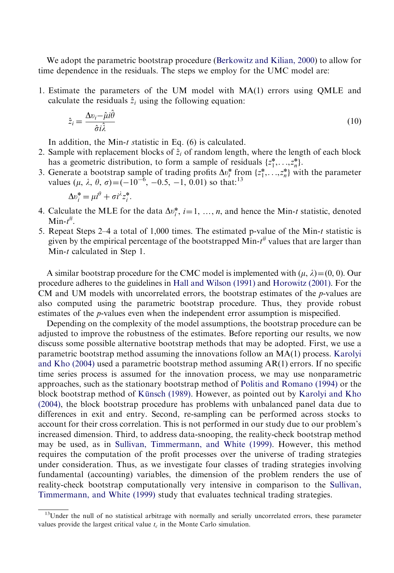We adopt the parametric bootstrap procedure ([Berkowitz and Kilian, 2000\)](#page-34-0) to allow for time dependence in the residuals. The steps we employ for the UMC model are:

1. Estimate the parameters of the UM model with MA(1) errors using QMLE and calculate the residuals  $\hat{z}_i$  using the following equation:

$$
\hat{z}_i = \frac{\Delta v_i - \hat{\mu} i \hat{\theta}}{\hat{\sigma} i \hat{\lambda}}\tag{10}
$$

In addition, the Min-t statistic in Eq.  $(6)$  is calculated.

- 2. Sample with replacement blocks of  $\hat{z}_i$  of random length, where the length of each block has a geometric distribution, to form a sample of residuals  $\{z_1^*,...,z_n^*\}$ .
- 3. Generate a bootstrap sample of trading profits  $\Delta v_i^*$  from  $\{z_1^*, \ldots, z_n^*\}$  with the parameter values ( $\mu$ ,  $\lambda$ ,  $\theta$ ,  $\sigma$ ) = (-10<sup>-6</sup>, -0.5, -1, 0.01) so that:<sup>13</sup>

$$
\Delta v_i^* = \mu i^{\theta} + \sigma i^{\lambda} z_i^*.
$$

- 4. Calculate the MLE for the data  $\Delta v_i^*$ ,  $i=1, \ldots, n$ , and hence the Min-t statistic, denoted Min- $t^{\#}$ .
- 5. Repeat Steps  $2-4$  a total of 1,000 times. The estimated p-value of the Min-t statistic is given by the empirical percentage of the bootstrapped Min- $t^{\#}$  values that are larger than Min-t calculated in Step 1.

A similar bootstrap procedure for the CMC model is implemented with  $(\mu, \lambda) = (0, 0)$ . Our procedure adheres to the guidelines in [Hall and Wilson \(1991\)](#page-35-0) and [Horowitz \(2001\).](#page-35-0) For the CM and UM models with uncorrelated errors, the bootstrap estimates of the *p*-values are also computed using the parametric bootstrap procedure. Thus, they provide robust estimates of the p-values even when the independent error assumption is mispecified.

Depending on the complexity of the model assumptions, the bootstrap procedure can be adjusted to improve the robustness of the estimates. Before reporting our results, we now discuss some possible alternative bootstrap methods that may be adopted. First, we use a parametric bootstrap method assuming the innovations follow an MA(1) process. [Karolyi](#page-35-0) [and Kho \(2004\)](#page-35-0) used a parametric bootstrap method assuming AR(1) errors. If no specific time series process is assumed for the innovation process, we may use nonparametric approaches, such as the stationary bootstrap method of [Politis and Romano \(1994\)](#page-35-0) or the block bootstrap method of [K](#page-35-0)ü[nsch \(1989\)](#page-35-0). However, as pointed out by [Karolyi and Kho](#page-35-0) [\(2004\),](#page-35-0) the block bootstrap procedure has problems with unbalanced panel data due to differences in exit and entry. Second, re-sampling can be performed across stocks to account for their cross correlation. This is not performed in our study due to our problem's increased dimension. Third, to address data-snooping, the reality-check bootstrap method may be used, as in [Sullivan, Timmermann, and White \(1999\).](#page-35-0) However, this method requires the computation of the profit processes over the universe of trading strategies under consideration. Thus, as we investigate four classes of trading strategies involving fundamental (accounting) variables, the dimension of the problem renders the use of reality-check bootstrap computationally very intensive in comparison to the [Sullivan,](#page-35-0) [Timmermann, and White \(1999\)](#page-35-0) study that evaluates technical trading strategies.

<sup>&</sup>lt;sup>13</sup>Under the null of no statistical arbitrage with normally and serially uncorrelated errors, these parameter values provide the largest critical value  $t_c$  in the Monte Carlo simulation.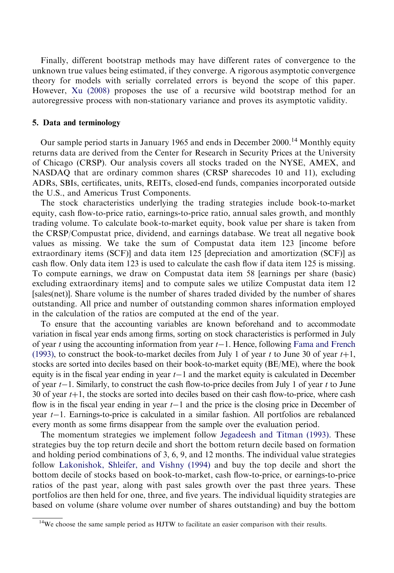<span id="page-13-0"></span>Finally, different bootstrap methods may have different rates of convergence to the unknown true values being estimated, if they converge. A rigorous asymptotic convergence theory for models with serially correlated errors is beyond the scope of this paper. However, [Xu \(2008\)](#page-35-0) proposes the use of a recursive wild bootstrap method for an autoregressive process with non-stationary variance and proves its asymptotic validity.

# 5. Data and terminology

Our sample period starts in January 1965 and ends in December 2000.<sup>14</sup> Monthly equity returns data are derived from the Center for Research in Security Prices at the University of Chicago (CRSP). Our analysis covers all stocks traded on the NYSE, AMEX, and NASDAQ that are ordinary common shares (CRSP sharecodes 10 and 11), excluding ADRs, SBIs, certificates, units, REITs, closed-end funds, companies incorporated outside the U.S., and Americus Trust Components.

The stock characteristics underlying the trading strategies include book-to-market equity, cash flow-to-price ratio, earnings-to-price ratio, annual sales growth, and monthly trading volume. To calculate book-to-market equity, book value per share is taken from the CRSP/Compustat price, dividend, and earnings database. We treat all negative book values as missing. We take the sum of Compustat data item 123 [income before extraordinary items (SCF)] and data item 125 [depreciation and amortization (SCF)] as cash flow. Only data item 123 is used to calculate the cash flow if data item 125 is missing. To compute earnings, we draw on Compustat data item 58 [earnings per share (basic) excluding extraordinary items] and to compute sales we utilize Compustat data item 12 [sales(net)]. Share volume is the number of shares traded divided by the number of shares outstanding. All price and number of outstanding common shares information employed in the calculation of the ratios are computed at the end of the year.

To ensure that the accounting variables are known beforehand and to accommodate variation in fiscal year ends among firms, sorting on stock characteristics is performed in July of year t using the accounting information from year  $t-1$ . Hence, following [Fama and French](#page-35-0) [\(1993\),](#page-35-0) to construct the book-to-market deciles from July 1 of year t to June 30 of year  $t+1$ , stocks are sorted into deciles based on their book-to-market equity (BE/ME), where the book equity is in the fiscal year ending in year  $t-1$  and the market equity is calculated in December of year  $t-1$ . Similarly, to construct the cash flow-to-price deciles from July 1 of year t to June 30 of year  $t+1$ , the stocks are sorted into deciles based on their cash flow-to-price, where cash flow is in the fiscal year ending in year  $t-1$  and the price is the closing price in December of year  $t-1$ . Earnings-to-price is calculated in a similar fashion. All portfolios are rebalanced every month as some firms disappear from the sample over the evaluation period.

The momentum strategies we implement follow [Jegadeesh and Titman \(1993\).](#page-35-0) These strategies buy the top return decile and short the bottom return decile based on formation and holding period combinations of 3, 6, 9, and 12 months. The individual value strategies follow [Lakonishok, Shleifer, and Vishny \(1994\)](#page-35-0) and buy the top decile and short the bottom decile of stocks based on book-to-market, cash flow-to-price, or earnings-to-price ratios of the past year, along with past sales growth over the past three years. These portfolios are then held for one, three, and five years. The individual liquidity strategies are based on volume (share volume over number of shares outstanding) and buy the bottom

<sup>&</sup>lt;sup>14</sup>We choose the same sample period as HJTW to facilitate an easier comparison with their results.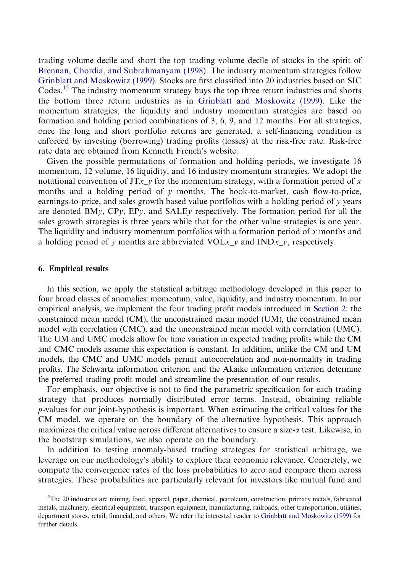<span id="page-14-0"></span>trading volume decile and short the top trading volume decile of stocks in the spirit of [Brennan, Chordia, and Subrahmanyam \(1998\).](#page-34-0) The industry momentum strategies follow [Grinblatt and Moskowitz \(1999\)](#page-35-0). Stocks are first classified into 20 industries based on SIC Codes.<sup>15</sup> The industry momentum strategy buys the top three return industries and shorts the bottom three return industries as in [Grinblatt and Moskowitz \(1999\).](#page-35-0) Like the momentum strategies, the liquidity and industry momentum strategies are based on formation and holding period combinations of 3, 6, 9, and 12 months. For all strategies, once the long and short portfolio returns are generated, a self-financing condition is enforced by investing (borrowing) trading profits (losses) at the risk-free rate. Risk-free rate data are obtained from Kenneth French's website.

Given the possible permutations of formation and holding periods, we investigate 16 momentum, 12 volume, 16 liquidity, and 16 industry momentum strategies. We adopt the notational convention of JTx y for the momentum strategy, with a formation period of x months and a holding period of  $y$  months. The book-to-market, cash flow-to-price, earnings-to-price, and sales growth based value portfolios with a holding period of  $\nu$  years are denoted BMy,  $CPy$ , EPy, and SALEy respectively. The formation period for all the sales growth strategies is three years while that for the other value strategies is one year. The liquidity and industry momentum portfolios with a formation period of  $x$  months and a holding period of y months are abbreviated VOL $x$  y and IND $x$  y, respectively.

## 6. Empirical results

In this section, we apply the statistical arbitrage methodology developed in this paper to four broad classes of anomalies: momentum, value, liquidity, and industry momentum. In our empirical analysis, we implement the four trading profit models introduced in [Section 2:](#page-5-0) the constrained mean model (CM), the unconstrained mean model (UM), the constrained mean model with correlation (CMC), and the unconstrained mean model with correlation (UMC). The UM and UMC models allow for time variation in expected trading profits while the CM and CMC models assume this expectation is constant. In addition, unlike the CM and UM models, the CMC and UMC models permit autocorrelation and non-normality in trading profits. The Schwartz information criterion and the Akaike information criterion determine the preferred trading profit model and streamline the presentation of our results.

For emphasis, our objective is not to find the parametric specification for each trading strategy that produces normally distributed error terms. Instead, obtaining reliable p-values for our joint-hypothesis is important. When estimating the critical values for the CM model, we operate on the boundary of the alternative hypothesis. This approach maximizes the critical value across different alternatives to ensure a size-a test. Likewise, in the bootstrap simulations, we also operate on the boundary.

In addition to testing anomaly-based trading strategies for statistical arbitrage, we leverage on our methodology's ability to explore their economic relevance. Concretely, we compute the convergence rates of the loss probabilities to zero and compare them across strategies. These probabilities are particularly relevant for investors like mutual fund and

<sup>&</sup>lt;sup>15</sup>The 20 industries are mining, food, apparel, paper, chemical, petroleum, construction, primary metals, fabricated metals, machinery, electrical equipment, transport equipment, manufacturing, railroads, other transportation, utilities, department stores, retail, financial, and others. We refer the interested reader to [Grinblatt and Moskowitz \(1999\)](#page-35-0) for further details.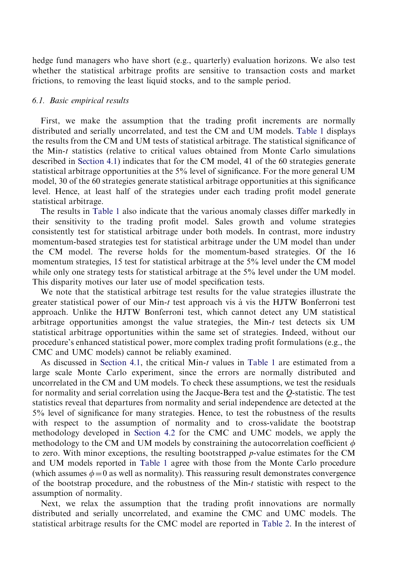hedge fund managers who have short (e.g., quarterly) evaluation horizons. We also test whether the statistical arbitrage profits are sensitive to transaction costs and market frictions, to removing the least liquid stocks, and to the sample period.

# 6.1. Basic empirical results

First, we make the assumption that the trading profit increments are normally distributed and serially uncorrelated, and test the CM and UM models. [Table 1](#page-16-0) displays the results from the CM and UM tests of statistical arbitrage. The statistical significance of the Min-t statistics (relative to critical values obtained from Monte Carlo simulations described in [Section 4.1\)](#page-9-0) indicates that for the CM model, 41 of the 60 strategies generate statistical arbitrage opportunities at the 5% level of significance. For the more general UM model, 30 of the 60 strategies generate statistical arbitrage opportunities at this significance level. Hence, at least half of the strategies under each trading profit model generate statistical arbitrage.

The results in [Table 1](#page-16-0) also indicate that the various anomaly classes differ markedly in their sensitivity to the trading profit model. Sales growth and volume strategies consistently test for statistical arbitrage under both models. In contrast, more industry momentum-based strategies test for statistical arbitrage under the UM model than under the CM model. The reverse holds for the momentum-based strategies. Of the 16 momentum strategies, 15 test for statistical arbitrage at the 5% level under the CM model while only one strategy tests for statistical arbitrage at the 5% level under the UM model. This disparity motives our later use of model specification tests.

We note that the statistical arbitrage test results for the value strategies illustrate the greater statistical power of our Min-t test approach vis à vis the HJTW Bonferroni test approach. Unlike the HJTW Bonferroni test, which cannot detect any UM statistical arbitrage opportunities amongst the value strategies, the Min- $t$  test detects six UM statistical arbitrage opportunities within the same set of strategies. Indeed, without our procedure's enhanced statistical power, more complex trading profit formulations (e.g., the CMC and UMC models) cannot be reliably examined.

As discussed in [Section 4.1,](#page-9-0) the critical Min-t values in [Table 1](#page-16-0) are estimated from a large scale Monte Carlo experiment, since the errors are normally distributed and uncorrelated in the CM and UM models. To check these assumptions, we test the residuals for normality and serial correlation using the Jacque-Bera test and the Q-statistic. The test statistics reveal that departures from normality and serial independence are detected at the 5% level of significance for many strategies. Hence, to test the robustness of the results with respect to the assumption of normality and to cross-validate the bootstrap methodology developed in [Section 4.2](#page-11-0) for the CMC and UMC models, we apply the methodology to the CM and UM models by constraining the autocorrelation coefficient  $\phi$ to zero. With minor exceptions, the resulting bootstrapped  $p$ -value estimates for the CM and UM models reported in [Table 1](#page-16-0) agree with those from the Monte Carlo procedure (which assumes  $\phi = 0$  as well as normality). This reassuring result demonstrates convergence of the bootstrap procedure, and the robustness of the Min-t statistic with respect to the assumption of normality.

Next, we relax the assumption that the trading profit innovations are normally distributed and serially uncorrelated, and examine the CMC and UMC models. The statistical arbitrage results for the CMC model are reported in [Table 2.](#page-18-0) In the interest of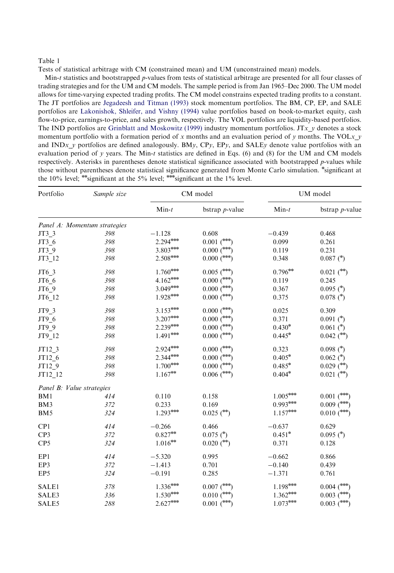<span id="page-16-0"></span>Tests of statistical arbitrage with CM (constrained mean) and UM (unconstrained mean) models.

Min-t statistics and bootstrapped  $p$ -values from tests of statistical arbitrage are presented for all four classes of trading strategies and for the UM and CM models. The sample period is from Jan 1965–Dec 2000. The UM model allows for time-varying expected trading profits. The CM model constrains expected trading profits to a constant. The JT portfolios are [Jegadeesh and Titman \(1993\)](#page-35-0) stock momentum portfolios. The BM, CP, EP, and SALE portfolios are [Lakonishok, Shleifer, and Vishny \(1994\)](#page-35-0) value portfolios based on book-to-market equity, cash flow-to-price, earnings-to-price, and sales growth, respectively. The VOL portfolios are liquidity-based portfolios. The IND portfolios are [Grinblatt and Moskowitz \(1999\)](#page-35-0) industry momentum portfolios. JTx  $\gamma$  denotes a stock momentum portfolio with a formation period of x months and an evaluation period of y months. The VOLx y and INDx y portfolios are defined analogously. BMy, CPy, EPy, and SALEy denote value portfolios with an evaluation period of y years. The Min-t statistics are defined in Eqs. (6) and (8) for the UM and CM models respectively. Asterisks in parentheses denote statistical significance associated with bootstrapped p-values while those without parentheses denote statistical significance generated from Monte Carlo simulation. \*significant at the 10% level; \*\* significant at the 5% level; \*\* significant at the 1% level.

| Portfolio                 | Sample size                  |                             | CM model                                | UM model                     |                                    |  |  |
|---------------------------|------------------------------|-----------------------------|-----------------------------------------|------------------------------|------------------------------------|--|--|
|                           |                              | $Min-t$                     | bstrap $p$ -value                       | $Min-t$                      | bstrap $p$ -value                  |  |  |
|                           | Panel A: Momentum strategies |                             |                                         |                              |                                    |  |  |
| $JT3_3$                   | 398                          | $-1.128$                    | 0.608                                   | $-0.439$                     | 0.468                              |  |  |
| JT3 6                     | 398                          | 2.294***                    | $0.001$ (***)                           | 0.099                        | 0.261                              |  |  |
| $JT3_9$                   | 398                          | $3.803***$                  | $0.000$ $(^{\rm kobs})$                 | 0.119                        | 0.231                              |  |  |
| $JT3_12$                  | 398                          | $2.508***$                  | $0.000$ (***)                           | 0.348                        | $0.087$ (*)                        |  |  |
| JT6 3                     | 398                          | $1.760^{\mbox{\tiny~keas}}$ | $0.005$ (**                             | $0.796***$                   | $0.021$ (**)                       |  |  |
| JT6 6                     | 398                          | $4.162***$                  | $0.000$ (***)                           | 0.119                        | 0.245                              |  |  |
| $JT6_9$                   | 398                          | $3.049***$                  | $0.000$ (***)                           | 0.367                        | $0.095$ (*)                        |  |  |
| JT6_12                    | 398                          | $1.928***$                  | $0.000$ $(^{\rm kobs})$                 | 0.375                        | $0.078$ (*)                        |  |  |
| JT9 3                     | 398                          | $3.153***$                  | $0.000$ (***)                           | 0.025                        | 0.309                              |  |  |
| JT9 6                     | 398                          | $3.207***$                  | $0.000\ (^{\rm kobs})$                  | 0.371                        | $0.091$ $(*)$                      |  |  |
| JT9 9                     | 398                          | 2.239***                    | $0.000$ (***)                           | $0.430*$                     | $0.061$ (*)                        |  |  |
| $JT9_12$                  | 398                          | $1.491***$                  | $0.000$ $\binom{\text{kink}}{k}$        | $0.445*$                     | $0.042$ (**)                       |  |  |
| JT12 3                    | 398                          | $2.924***$                  | $0.000$ $(^{\rm kobs})$                 | 0.323                        | $0.098$ (*)                        |  |  |
| JT12_6                    | 398                          | 2.344***                    | $0.000$ (***)                           | $0.405*$                     | $0.062$ (*)                        |  |  |
| JT12 9                    | 398                          | $1.700*$                    | $0.000$ $(^{\rm *}{\rm \, *}{\rm \, *}$ | $0.485*$                     | $0.029$ (**)                       |  |  |
| $JT12_12$                 | 398                          | $1.167***$                  | $0.006$ (***)                           | $0.404*$                     | $0.021$ (**)                       |  |  |
| Panel B: Value strategies |                              |                             |                                         |                              |                                    |  |  |
| BM1                       | 414                          | 0.110                       | 0.158                                   | $1.005***$                   | $0.001$ (***)                      |  |  |
| BM3                       | 372                          | 0.233                       | 0.169                                   | $0.993***$                   | $0.009$ (***)                      |  |  |
| BM5                       | 324                          | $1.293***$                  | $0.025$ (**)                            | $1.157***$                   | $0.010$ (***)                      |  |  |
| CP1                       | 414                          | $-0.266$                    | 0.466                                   | $-0.637$                     | 0.629                              |  |  |
| CP3                       | 372                          | $0.827***$                  | $0.075$ $(^{*})$                        | $0.451*$                     | $0.095$ (*)                        |  |  |
| CP <sub>5</sub>           | 324                          | $1.016***$                  | $0.020$ (**)                            | 0.371                        | 0.128                              |  |  |
| EP1                       | 414                          | $-5.320$                    | 0.995                                   | $-0.662$                     | 0.866                              |  |  |
| EP3                       | 372                          | $-1.413$                    | 0.701                                   | $-0.140$                     | 0.439                              |  |  |
| EP5                       | 324                          | $-0.191$                    | 0.285                                   | $-1.371$                     | 0.761                              |  |  |
| SALE1                     | 378                          | $1.336***$                  | $0.007$ (***)                           | $1.198^{\mbox{\tiny{kept}}}$ | $0.004$ $\binom{\text{select}}{ }$ |  |  |
| SALE3                     | 336                          | $1.530***$                  | $0.010$ (***)                           | $1.362***$                   | $0.003$ (***)                      |  |  |
| SALE5                     | 288                          | $2.627***$                  | $0.001$ (***)                           | $1.073***$                   | $0.003$ (***)                      |  |  |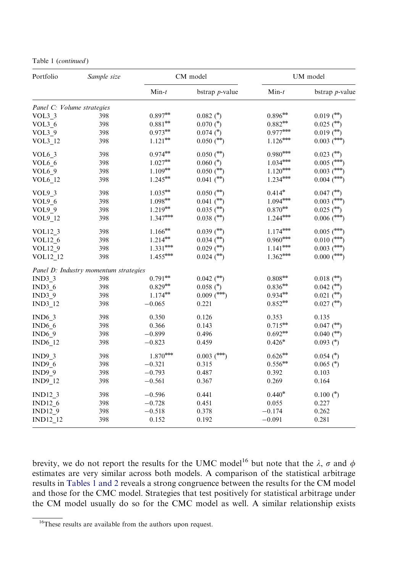| Portfolio                  | Sample size                           |                        | CM model          |                    | UM model                |
|----------------------------|---------------------------------------|------------------------|-------------------|--------------------|-------------------------|
|                            |                                       | $Min-t$                | bstrap $p$ -value | $Min-t$            | bstrap $p$ -value       |
| Panel C: Volume strategies |                                       |                        |                   |                    |                         |
| VOL3 3                     | 398                                   | $0.897***$             | $0.082$ (*)       | $0.896***$         | $0.019$ (**)            |
| VOL3 6                     | 398                                   | $0.881***$             | $0.070$ (*)       | $0.882***$         | $0.025$ (**)            |
| <b>VOL3 9</b>              | 398                                   | $0.973***$             | $0.074$ (*)       | $0.977***$         | $0.019$ (**)            |
| <b>VOL3 12</b>             | 398                                   | $1.121***$             | $0.050$ (**)      | $1.126***$         | $0.003$ (***)           |
| VOL6 3                     | 398                                   | $0.974***$             | $0.050$ (**)      | $0.980***$         | $0.023$ (**)            |
| VOL6 6                     | 398                                   | $1.027***$             | $0.060$ (*)       | $1.034***$         | $0.005$ (***)           |
| <b>VOL6 9</b>              | 398                                   | $1.109^{*\!\times\!*}$ | $0.050$ (**)      | $1.120***$         | $0.003$ (***)           |
| <b>VOL6 12</b>             | 398                                   | $1.245***$             | $0.041$ (**)      | $1.234***$         | $0.004$ (***)           |
| VOL9 3                     | 398                                   | $1.035***$             | $0.050$ (**)      | $0.414*$           | $0.047$ (**)            |
| VOL9 6                     | 398                                   | $1.098***$             | $0.041$ (**)      | $1.094***$         | $0.003$ (***)           |
| <b>VOL9 9</b>              | 398                                   | $1.219***$             | $0.035$ (**)      | $0.870***$         | $0.025$ (**)            |
| VOL9_12                    | 398                                   | $1.347***$             | $0.038$ (**)      | $1.244***$         | $0.006\ (^{\rm 400\%})$ |
| $VOL12_3$                  | 398                                   | $1.166***$             | $0.039$ (**)      | $1.174***$         | $0.005$ (***)           |
| VOL12 6                    | 398                                   | $1.214***$             | $0.034$ (**)      | $0.960***$         | $0.010$ (***)           |
| VOL12 9                    | 398                                   | $1.331***$             | $0.029$ (**)      | $1.141***$         | $0.003$ (***)           |
| VOL12 12                   | 398                                   | $1.455***$             | $0.024$ (**)      | $1.362***$         | $0.000$ (***)           |
|                            | Panel D: Industry momentum strategies |                        |                   |                    |                         |
| IND3 <sub>3</sub>          | 398                                   | $0.791***$             | $0.042$ (**)      | $0.808***$         | $0.018$ (**)            |
| $IND3_6$                   | 398                                   | $0.829***$             | $0.058$ (*)       | $0.836***$         | $0.042$ (**)            |
| IND3 9                     | 398                                   | $1.174***$             | $0.009$ (***)     | $0.934***$         | $0.021$ (**)            |
| IND3_12                    | 398                                   | $-0.065$               | 0.221             | $0.852***$         | $0.027$ (**)            |
| $IND6_3$                   | 398                                   | 0.350                  | 0.126             | 0.353              | 0.135                   |
| IND6 6                     | 398                                   | 0.366                  | 0.143             | $0.715***$         | $0.047$ (**)            |
| IND6 9                     | 398                                   | $-0.899$               | 0.496             | $0.692**$          | $0.040$ (**)            |
| IND6 12                    | 398                                   | $-0.823$               | 0.459             | $0.426*$           | $0.093$ (*)             |
| $IND9_3$                   | 398                                   | $1.870***$             | $0.003$ (***)     | $0.626^{\ast\ast}$ | $0.054$ (*)             |
| IND9 6                     | 398                                   | $-0.321$               | 0.315             | $0.556***$         | $0.065$ (*)             |
| IND9 9                     | 398                                   | $-0.793$               | 0.487             | 0.392              | 0.103                   |
| IND9_12                    | 398                                   | $-0.561$               | 0.367             | 0.269              | 0.164                   |
| IND12 3                    | 398                                   | $-0.596$               | 0.441             | $0.440*$           | $0.100$ (*)             |
| IND12_6                    | 398                                   | $-0.728$               | 0.451             | 0.055              | 0.227                   |
| IND12 9                    | 398                                   | $-0.518$               | 0.378             | $-0.174$           | 0.262                   |
| IND12 12                   | 398                                   | 0.152                  | 0.192             | $-0.091$           | 0.281                   |

Table 1 (continued )

brevity, we do not report the results for the UMC model<sup>16</sup> but note that the  $\lambda$ ,  $\sigma$  and  $\phi$ estimates are very similar across both models. A comparison of the statistical arbitrage results in [Tables 1 and 2](#page-16-0) reveals a strong congruence between the results for the CM model and those for the CMC model. Strategies that test positively for statistical arbitrage under the CM model usually do so for the CMC model as well. A similar relationship exists

<sup>&</sup>lt;sup>16</sup>These results are available from the authors upon request.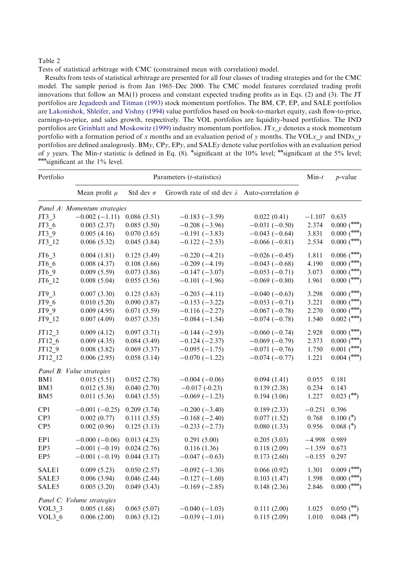<span id="page-18-0"></span>Tests of statistical arbitrage with CMC (constrained mean with correlation) model.

Results from tests of statistical arbitrage are presented for all four classes of trading strategies and for the CMC model. The sample period is from Jan 1965–Dec 2000. The CMC model features correlated trading profit innovations that follow an MA(1) process and constant expected trading profits as in Eqs. (2) and (3). The JT portfolios are [Jegadeesh and Titman \(1993\)](#page-35-0) stock momentum portfolios. The BM, CP, EP, and SALE portfolios are [Lakonishok, Shleifer, and Vishny \(1994\)](#page-35-0) value portfolios based on book-to-market equity, cash flow-to-price, earnings-to-price, and sales growth, respectively. The VOL portfolios are liquidity-based portfolios. The IND portfolios are [Grinblatt and Moskowitz \(1999\)](#page-35-0) industry momentum portfolios. JT $x_y$  denotes a stock momentum portfolio with a formation period of x months and an evaluation period of y months. The VOLx y and INDx y portfolios are defined analogously. BMy, CPy, EPy, and SALEy denote value portfolios with an evaluation period of y years. The Min-t statistic is defined in Eq. (8). \*significant at the 10% level; \*\*significant at the 5% level; \*\*significant at the 1% level.

| Portfolio       |                              | $Min-t$          | $p$ -value                                               |                 |          |                  |
|-----------------|------------------------------|------------------|----------------------------------------------------------|-----------------|----------|------------------|
|                 | Mean profit $\mu$            | Std dev $\sigma$ | Growth rate of std dev $\lambda$ Auto-correlation $\phi$ |                 |          |                  |
|                 | Panel A: Momentum strategies |                  |                                                          |                 |          |                  |
| JT3 3           | $-0.002(-1.11)$              | 0.086(3.51)      | $-0.183(-3.59)$                                          | 0.022(0.41)     | $-1.107$ | 0.635            |
| $JT3_6$         | 0.003(2.37)                  | 0.085(3.50)      | $-0.208(-3.96)$                                          | $-0.031(-0.50)$ | 2.374    | $0.000$ (***)    |
| JT3 9           | 0.005(4.16)                  | 0.070(3.65)      | $-0.191(-3.83)$                                          | $-0.043(-0.64)$ | 3.831    | $0.000$ (***)    |
| $JT3_12$        | 0.006(5.32)                  | 0.045(3.84)      | $-0.122(-2.53)$                                          | $-0.066(-0.81)$ | 2.534    | $0.000$ (***)    |
| $JT6_3$         | 0.004(1.81)                  | 0.125(3.49)      | $-0.220(-4.21)$                                          | $-0.026(-0.45)$ | 1.811    | $0.006$ (***)    |
| JT6 6           | 0.008(4.37)                  | 0.108(3.66)      | $-0.209(-4.19)$                                          | $-0.043(-0.68)$ | 4.190    | $0.000$ (***)    |
| JT6 9           | 0.009(5.59)                  | 0.073(3.86)      | $-0.147$ $(-3.07)$                                       | $-0.053(-0.71)$ | 3.073    | $0.000$ (***)    |
| JT6 12          | 0.008(5.04)                  | 0.055(3.56)      | $-0.101(-1.96)$                                          | $-0.069(-0.80)$ | 1.961    | $0.000$ (***)    |
| JT9 3           | 0.007(3.30)                  | 0.125(3.63)      | $-0.203(-4.11)$                                          | $-0.040(-0.63)$ | 3.298    | $0.000$ (***)    |
| JT9 6           | 0.010(5.20)                  | 0.090(3.87)      | $-0.153(-3.22)$                                          | $-0.053(-0.71)$ | 3.221    | $0.000$ (***)    |
| $JT9_9$         | 0.009(4.95)                  | 0.071(3.59)      | $-0.116(-2.27)$                                          | $-0.067(-0.78)$ | 2.270    | $0.000$ (***)    |
| $JT9_12$        | 0.007(4.09)                  | 0.057(3.35)      | $-0.084(-1.54)$                                          | $-0.074(-0.78)$ | 1.540    | $0.002$ (***)    |
| JT12 3          | 0.009(4.12)                  | 0.097(3.71)      | $-0.144(-2.93)$                                          | $-0.060(-0.74)$ | 2.928    | $0.000$ (***)    |
| JT12 6          | 0.009(4.35)                  | 0.084(3.49)      | $-0.124(-2.37)$                                          | $-0.069(-0.79)$ | 2.373    | $0.000$ (***)    |
| JT12 9          | 0.008(3.82)                  | 0.069(3.37)      | $-0.095(-1.75)$                                          | $-0.071(-0.76)$ | 1.750    | $0.001$ (***)    |
| JT12_12         | 0.006(2.95)                  | 0.058(3.14)      | $-0.070(-1.22)$                                          | $-0.074(-0.77)$ | 1.221    | $0.004$ (***)    |
|                 | Panel B: Value strategies    |                  |                                                          |                 |          |                  |
| BM1             | 0.015(5.51)                  | 0.052(2.78)      | $-0.004(-0.06)$                                          | 0.094(1.41)     | 0.055    | 0.181            |
| BM3             | 0.012(5.38)                  | 0.040(2.70)      | $-0.017(-0.23)$                                          | 0.139(2.38)     | 0.234    | 0.143            |
| BM <sub>5</sub> | 0.011(5.36)                  | 0.043(3.55)      | $-0.069(-1.23)$                                          | 0.194(3.06)     | 1.227    | $0.023$ (**)     |
| CP1             | $-0.001(-0.25)$              | 0.209(3.74)      | $-0.200(-3.40)$                                          | 0.189(2.33)     | $-0.251$ | 0.396            |
| CP3             | 0.002(0.77)                  | 0.111(3.55)      | $-0.168(-2.40)$                                          | 0.077(1.52)     | 0.768    | $0.100$ $(^{*})$ |
| CP <sub>5</sub> | 0.002(0.96)                  | 0.125(3.13)      | $-0.233(-2.73)$                                          | 0.080(1.33)     | 0.956    | $0.068$ (*)      |
| EP1             | $-0.000(-0.06)$              | 0.013(4.23)      | 0.291(5.00)                                              | 0.205(3.03)     | $-4.998$ | 0.989            |
| EP3             | $-0.001(-0.19)$              | 0.024(2.76)      | 0.116(1.36)                                              | 0.118(2.09)     | $-1.359$ | 0.673            |
| EP5             | $-0.001(-0.19)$              | 0.044(3.17)      | $-0.047(-0.63)$                                          | 0.173(2.60)     | $-0.155$ | 0.297            |
| SALE1           | 0.009(5.23)                  | 0.050(2.57)      | $-0.092(-1.30)$                                          | 0.066(0.92)     | 1.301    | $0.009$ (***)    |
| SALE3           | 0.006(3.94)                  | 0.046(2.44)      | $-0.127(-1.60)$                                          | 0.103(1.47)     | 1.598    | $0.000$ (***)    |
| SALE5           | 0.005(3.20)                  | 0.049(3.43)      | $-0.169(-2.85)$                                          | 0.148(2.36)     | 2.846    | $0.000$ (***)    |
|                 | Panel C: Volume strategies   |                  |                                                          |                 |          |                  |
| VOL3 3          | 0.005(1.68)                  | 0.065(5.07)      | $-0.040(-1.03)$                                          | 0.111(2.00)     | 1.025    | $0.050$ (**)     |
| VOL3 6          | 0.006(2.00)                  | 0.063(5.12)      | $-0.039(-1.01)$                                          | 0.115(2.09)     | 1.010    | $0.048$ (**)     |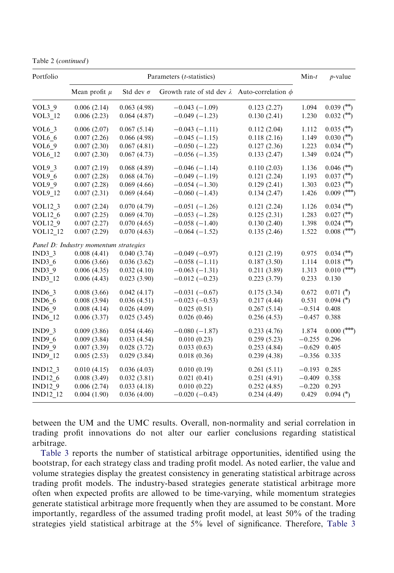Table 2 (continued )

| Portfolio           |                                       | $Min-t$          | $p$ -value                                               |             |          |               |
|---------------------|---------------------------------------|------------------|----------------------------------------------------------|-------------|----------|---------------|
|                     | Mean profit $\mu$                     | Std dev $\sigma$ | Growth rate of std dev $\lambda$ Auto-correlation $\phi$ |             |          |               |
| <b>VOL3 9</b>       | 0.006(2.14)                           | 0.063(4.98)      | $-0.043(-1.09)$                                          | 0.123(2.27) | 1.094    | $0.039$ (**)  |
| <b>VOL3 12</b>      | 0.006(2.23)                           | 0.064(4.87)      | $-0.049(-1.23)$                                          | 0.130(2.41) | 1.230    | $0.032$ (**)  |
| VOL6 3              | 0.006(2.07)                           | 0.067(5.14)      | $-0.043(-1.11)$                                          | 0.112(2.04) | 1.112    | $0.035$ (**)  |
| VOL <sub>6</sub> _6 | 0.007(2.26)                           | 0.066(4.98)      | $-0.045(-1.15)$                                          | 0.118(2.16) | 1.149    | $0.030$ (**)  |
| <b>VOL6 9</b>       | 0.007(2.30)                           | 0.067(4.81)      | $-0.050$ (-1.22)                                         | 0.127(2.36) | 1.223    | $0.034$ (**)  |
| <b>VOL6 12</b>      | 0.007(2.30)                           | 0.067(4.73)      | $-0.056(-1.35)$                                          | 0.133(2.47) | 1.349    | $0.024$ (**)  |
| VOL9 3              | 0.007(2.19)                           | 0.068(4.89)      | $-0.046(-1.14)$                                          | 0.110(2.03) | 1.136    | $0.046$ (**)  |
| VOL9 6              | 0.007(2.28)                           | 0.068(4.76)      | $-0.049(-1.19)$                                          | 0.121(2.24) | 1.193    | $0.037$ (**)  |
| VOL9 9              | 0.007(2.28)                           | 0.069(4.66)      | $-0.054(-1.30)$                                          | 0.129(2.41) | 1.303    | $0.023$ (**)  |
| <b>VOL9 12</b>      | 0.007(2.31)                           | 0.069(4.64)      | $-0.060(-1.43)$                                          | 0.134(2.47) | 1.426    | $0.009$ (***) |
| <b>VOL12 3</b>      | 0.007(2.24)                           | 0.070(4.79)      | $-0.051(-1.26)$                                          | 0.121(2.24) | 1.126    | $0.034$ (**)  |
| VOL12 6             | 0.007(2.25)                           | 0.069(4.70)      | $-0.053(-1.28)$                                          | 0.125(2.31) | 1.283    | $0.027$ (**)  |
| <b>VOL12 9</b>      | 0.007(2.27)                           | 0.070(4.65)      | $-0.058(-1.40)$                                          | 0.130(2.40) | 1.398    | $0.024$ (**)  |
| <b>VOL12 12</b>     | 0.007(2.29)                           | 0.070(4.63)      | $-0.064(-1.52)$                                          | 0.135(2.46) | 1.522    | $0.008$ (***) |
|                     | Panel D: Industry momentum strategies |                  |                                                          |             |          |               |
| IND3 <sub>3</sub>   | 0.008(4.41)                           | 0.040(3.74)      | $-0.049(-0.97)$                                          | 0.121(2.19) | 0.975    | $0.034$ (**)  |
| $IND3_6$            | 0.006(3.66)                           | 0.036(3.62)      | $-0.058(-1.11)$                                          | 0.187(3.50) | 1.114    | $0.018$ (**)  |
| IND39               | 0.006(4.35)                           | 0.032(4.10)      | $-0.063(-1.31)$                                          | 0.211(3.89) | 1.313    | $0.010$ (***) |
| IND3 12             | 0.006(4.43)                           | 0.023(3.90)      | $-0.012(-0.23)$                                          | 0.223(3.79) | 0.233    | 0.130         |
| IND6 <sub>3</sub>   | 0.008(3.66)                           | 0.042(4.17)      | $-0.031(-0.67)$                                          | 0.175(3.34) | 0.672    | $0.071$ (*)   |
| IND66               | 0.008(3.94)                           | 0.036(4.51)      | $-0.023(-0.53)$                                          | 0.217(4.44) | 0.531    | $0.094$ (*)   |
| <b>IND69</b>        | 0.008(4.14)                           | 0.026(4.09)      | 0.025(0.51)                                              | 0.267(5.14) | $-0.514$ | 0.408         |
| IND6 12             | 0.006(3.37)                           | 0.025(3.45)      | 0.026(0.46)                                              | 0.256(4.53) | $-0.457$ | 0.388         |
| IND9 3              | 0.009(3.86)                           | 0.054(4.46)      | $-0.080(-1.87)$                                          | 0.233(4.76) | 1.874    | $0.000$ (***) |
| IND96               | 0.009(3.84)                           | 0.033(4.54)      | 0.010(0.23)                                              | 0.259(5.23) | $-0.255$ | 0.296         |
| <b>IND9 9</b>       | 0.007(3.39)                           | 0.028(3.72)      | 0.033(0.63)                                              | 0.253(4.84) | $-0.629$ | 0.405         |
| IND9 12             | 0.005(2.53)                           | 0.029(3.84)      | 0.018(0.36)                                              | 0.239(4.38) | $-0.356$ | 0.335         |
| <b>IND12 3</b>      | 0.010(4.15)                           | 0.036(4.03)      | 0.010(0.19)                                              | 0.261(5.11) | $-0.193$ | 0.285         |
| IND12 6             | 0.008(3.49)                           | 0.032(3.81)      | 0.021(0.41)                                              | 0.251(4.91) | $-0.409$ | 0.358         |
| IND12 9             | 0.006(2.74)                           | 0.033(4.18)      | 0.010(0.22)                                              | 0.252(4.85) | $-0.220$ | 0.293         |
| IND12_12            | 0.004(1.90)                           | 0.036(4.00)      | $-0.020(-0.43)$                                          | 0.234(4.49) | 0.429    | $0.094$ (*)   |

between the UM and the UMC results. Overall, non-normality and serial correlation in trading profit innovations do not alter our earlier conclusions regarding statistical arbitrage.

[Table 3](#page-20-0) reports the number of statistical arbitrage opportunities, identified using the bootstrap, for each strategy class and trading profit model. As noted earlier, the value and volume strategies display the greatest consistency in generating statistical arbitrage across trading profit models. The industry-based strategies generate statistical arbitrage more often when expected profits are allowed to be time-varying, while momentum strategies generate statistical arbitrage more frequently when they are assumed to be constant. More importantly, regardless of the assumed trading profit model, at least 50% of the trading strategies yield statistical arbitrage at the 5% level of significance. Therefore, [Table 3](#page-20-0)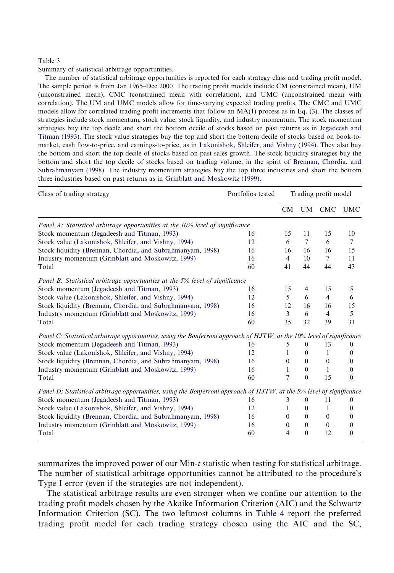<span id="page-20-0"></span>Summary of statistical arbitrage opportunities.

The number of statistical arbitrage opportunities is reported for each strategy class and trading profit model. The sample period is from Jan 1965–Dec 2000. The trading profit models include CM (constrained mean), UM (unconstrained mean), CMC (constrained mean with correlation), and UMC (unconstrained mean with correlation). The UM and UMC models allow for time-varying expected trading profits. The CMC and UMC models allow for correlated trading profit increments that follow an MA(1) process as in Eq. (3). The classes of strategies include stock momentum, stock value, stock liquidity, and industry momentum. The stock momentum strategies buy the top decile and short the bottom decile of stocks based on past returns as in [Jegadeesh and](#page-35-0) [Titman \(1993\)](#page-35-0). The stock value strategies buy the top and short the bottom decile of stocks based on book-tomarket, cash flow-to-price, and earnings-to-price, as in [Lakonishok, Shleifer, and Vishny \(1994\).](#page-35-0) They also buy the bottom and short the top decile of stocks based on past sales growth. The stock liquidity strategies buy the bottom and short the top decile of stocks based on trading volume, in the spirit of [Brennan, Chordia, and](#page-34-0) [Subrahmanyam \(1998\).](#page-34-0) The industry momentum strategies buy the top three industries and short the bottom three industries based on past returns as in [Grinblatt and Moskowitz \(1999\)](#page-35-0).

| Class of trading strategy                                                                                             | Portfolios tested | Trading profit model |              |              |            |  |
|-----------------------------------------------------------------------------------------------------------------------|-------------------|----------------------|--------------|--------------|------------|--|
|                                                                                                                       |                   | CM -                 | <b>UM</b>    | CMC          | <b>UMC</b> |  |
| Panel A: Statistical arbitrage opportunities at the 10% level of significance                                         |                   |                      |              |              |            |  |
| Stock momentum (Jegadeesh and Titman, 1993)                                                                           | 16                | 15                   | 11           | 15           | 10         |  |
| Stock value (Lakonishok, Shleifer, and Vishny, 1994)                                                                  | 12                | 6                    | $\tau$       | 6            | 7          |  |
| Stock liquidity (Brennan, Chordia, and Subrahmanyam, 1998)                                                            | 16                | 16                   | 16           | 16           | 15         |  |
| Industry momentum (Grinblatt and Moskowitz, 1999)                                                                     | 16                | 4                    | 10           | 7            | 11         |  |
| Total                                                                                                                 | 60                | 41                   | 44           | 44           | 43         |  |
| <b>Panel B:</b> Statistical arbitrage opportunities at the 5% level of significance                                   |                   |                      |              |              |            |  |
| Stock momentum (Jegadeesh and Titman, 1993)                                                                           | 16                | 15                   | 4            | 15           | 5          |  |
| Stock value (Lakonishok, Shleifer, and Vishny, 1994)                                                                  | 12                | 5                    | 6            | 4            | 6          |  |
| Stock liquidity (Brennan, Chordia, and Subrahmanyam, 1998)                                                            | 16                | 12                   | 16           | 16           | 15         |  |
| Industry momentum (Grinblatt and Moskowitz, 1999)                                                                     | 16                | 3                    | 6            | 4            | 5          |  |
| Total                                                                                                                 | 60                | 35                   | 32           | 39           | 31         |  |
| Panel C: Statistical arbitrage opportunities, using the Bonferroni approach of HJTW, at the 10% level of significance |                   |                      |              |              |            |  |
| Stock momentum (Jegadeesh and Titman, 1993)                                                                           | 16                | 5                    | $\theta$     | 13           | $^{(1)}$   |  |
| Stock value (Lakonishok, Shleifer, and Vishny, 1994)                                                                  | 12                | 1                    | $\mathbf{0}$ | 1            | $\Omega$   |  |
| Stock liquidity (Brennan, Chordia, and Subrahmanyam, 1998)                                                            | 16                | $\bf{0}$             | $\mathbf{0}$ | $\mathbf{0}$ | $^{(1)}$   |  |
| Industry momentum (Grinblatt and Moskowitz, 1999)                                                                     | 16                | 1                    | $\theta$     | 1            | 0          |  |
| Total                                                                                                                 | 60                | 7                    | $\theta$     | 15           | $\theta$   |  |
| Panel D: Statistical arbitrage opportunities, using the Bonferroni approach of HJTW, at the 5% level of significance  |                   |                      |              |              |            |  |
| Stock momentum (Jegadeesh and Titman, 1993)                                                                           | 16                | 3                    | $\mathbf{0}$ | 11           | $\Omega$   |  |
| Stock value (Lakonishok, Shleifer, and Vishny, 1994)                                                                  | 12                | 1                    | $\theta$     | 1            | 0          |  |
| Stock liquidity (Brennan, Chordia, and Subrahmanyam, 1998)                                                            | 16                | $\theta$             | $\Omega$     | $\mathbf{0}$ | $\Omega$   |  |
| Industry momentum (Grinblatt and Moskowitz, 1999)                                                                     | 16                | $\theta$             | $\Omega$     | $\mathbf{0}$ | 0          |  |
| Total                                                                                                                 | 60                | 4                    | $\theta$     | 12           | $\theta$   |  |

summarizes the improved power of our Min-t statistic when testing for statistical arbitrage. The number of statistical arbitrage opportunities cannot be attributed to the procedure's Type I error (even if the strategies are not independent).

The statistical arbitrage results are even stronger when we confine our attention to the trading profit models chosen by the Akaike Information Criterion (AIC) and the Schwartz Information Criterion (SC). The two leftmost columns in [Table 4](#page-21-0) report the preferred trading profit model for each trading strategy chosen using the AIC and the SC,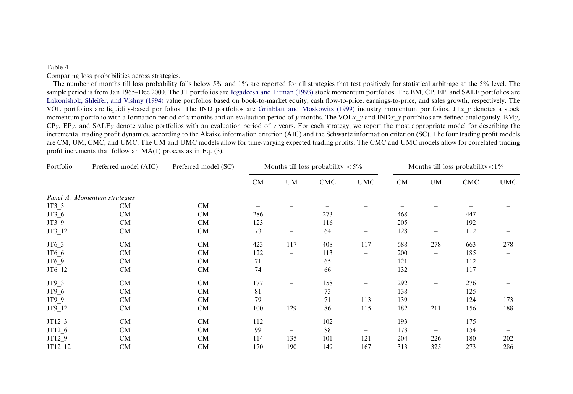<span id="page-21-0"></span>Comparing loss probabilities across strategies.

The number of months till loss probability falls below 5% and 1% are reported for all strategies that test positively for statistical arbitrage at the 5% level. The sample period is from Jan 1965–Dec 2000. The JT portfolios are [Jegadeesh](#page-35-0) and Titman (1993) stock momentum portfolios. The BM, CP, EP, and SALE portfolios are [Lakonishok,](#page-35-0) Shleifer, and Vishny (1994) value portfolios based on book-to-market equity, cash flow-to-price, earnings-to-price, and sales growth, respectively. The VOL portfolios are liquidity-based portfolios. The IND portfolios are Grinblatt and [Moskowitz](#page-35-0) (1999) industry momentum portfolios. JTx y denotes a stock momentum portfolio with a formation period of x months and an evaluation period of y months. The VOLx y and INDx y portfolios are defined analogously. BMy,  $CPy$ , EPy, and SALEy denote value portfolios with an evaluation period of y years. For each strategy, we report the most appropriate model for describing the incremental trading profit dynamics, according to the Akaike information criterion (AIC) and the Schwartz information criterion (SC). The four trading profit models are CM, UM, CMC, and UMC. The UM and UMC models allow for time-varying expected trading profits. The CMC and UMC models allow for correlated trading profit increments that follow an MA(1) process as in Eq. (3).

| Portfolio | Preferred model (AIC)        | Preferred model (SC) |     |                   | Months till loss probability $\langle 5\%$ |                   | Months till loss probability $\lt 1\%$ |                                       |            |            |
|-----------|------------------------------|----------------------|-----|-------------------|--------------------------------------------|-------------------|----------------------------------------|---------------------------------------|------------|------------|
|           |                              |                      | CM  | <b>UM</b>         | CMC                                        | <b>UMC</b>        | CM                                     | <b>UM</b>                             | <b>CMC</b> | <b>UMC</b> |
|           | Panel A: Momentum strategies |                      |     |                   |                                            |                   |                                        |                                       |            |            |
| $JT3_3$   | CM                           | CM                   |     |                   |                                            |                   |                                        |                                       |            |            |
| JT3 6     | CM                           | <b>CM</b>            | 286 | $\qquad \qquad$   | 273                                        | -                 | 468                                    | $\overline{\phantom{0}}$              | 447        |            |
| $JT3_9$   | <b>CM</b>                    | <b>CM</b>            | 123 | $\qquad \qquad -$ | 116                                        | —                 | 205                                    | $\qquad \qquad -$                     | 192        |            |
| $JT3_12$  | <b>CM</b>                    | <b>CM</b>            | 73  | -                 | 64                                         | -                 | 128                                    |                                       | 112        |            |
| $JT6_3$   | <b>CM</b>                    | CM                   | 423 | 117               | 408                                        | 117               | 688                                    | 278                                   | 663        | 278        |
| JT6_6     | CM                           | CM                   | 122 | -                 | 113                                        | $\qquad \qquad -$ | 200                                    | $\qquad \qquad -$                     | 185        |            |
| JT6_9     | <b>CM</b>                    | <b>CM</b>            | 71  | $\qquad \qquad -$ | 65                                         | $\qquad \qquad -$ | 121                                    | -                                     | 112        |            |
| JT6_12    | <b>CM</b>                    | CM                   | 74  | -                 | 66                                         | —                 | 132                                    | $\qquad \qquad -$                     | 117        |            |
| JT9 3     | CM                           | CM                   | 177 | -                 | 158                                        | -                 | 292                                    |                                       | 276        |            |
| $JT9_6$   | <b>CM</b>                    | CM                   | 81  | $\qquad \qquad -$ | 73                                         | -                 | 138                                    | $\qquad \qquad -$                     | 125        |            |
| JT9 9     | <b>CM</b>                    | CM                   | 79  | -                 | 71                                         | 113               | 139                                    | $\overline{\phantom{0}}$              | 124        | 173        |
| $JT9_12$  | <b>CM</b>                    | CM                   | 100 | 129               | 86                                         | 115               | 182                                    | 211                                   | 156        | 188        |
| $JTI2_3$  | CM                           | CM                   | 112 | $\qquad \qquad -$ | 102                                        | $\qquad \qquad -$ | 193                                    | -                                     | 175        |            |
| $JT12_6$  | <b>CM</b>                    | CM                   | 99  | $\qquad \qquad -$ | 88                                         | —                 | 173                                    | $\hspace{1.0cm} \rule{1.5cm}{0.15cm}$ | 154        |            |
| $JT12_9$  | CM                           | <b>CM</b>            | 114 | 135               | 101                                        | 121               | 204                                    | 226                                   | 180        | 202        |
| JT12_12   | <b>CM</b>                    | <b>CM</b>            | 170 | 190               | 149                                        | 167               | 313                                    | 325                                   | 273        | 286        |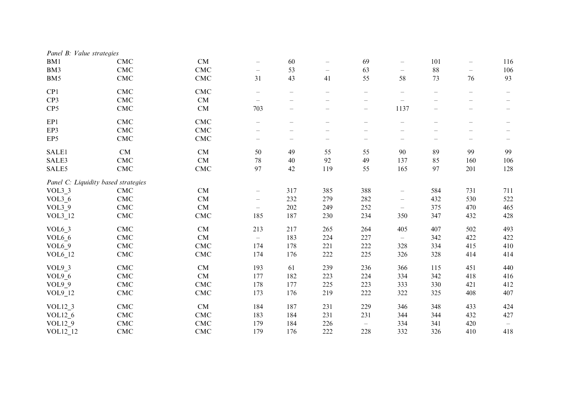| Panel B: Value strategies |                                     |                             |                          |                          |                          |                          |                          |                          |                          |                          |
|---------------------------|-------------------------------------|-----------------------------|--------------------------|--------------------------|--------------------------|--------------------------|--------------------------|--------------------------|--------------------------|--------------------------|
| BM1                       | <b>CMC</b>                          | CM                          |                          | 60                       | $\overline{\phantom{0}}$ | 69                       |                          | 101                      | $\qquad \qquad -$        | 116                      |
| BM3                       | <b>CMC</b>                          | CMC                         | $\qquad \qquad -$        | 53                       | $\overline{\phantom{m}}$ | 63                       | $\qquad \qquad -$        | 88                       | $\overline{\phantom{m}}$ | 106                      |
| BM5                       | CMC                                 | $\ensuremath{\mathrm{CMC}}$ | 31                       | 43                       | 41                       | 55                       | 58                       | 73                       | 76                       | 93                       |
| CP1                       | CMC                                 | <b>CMC</b>                  |                          | $\overline{\phantom{m}}$ | $\overline{\phantom{0}}$ | $\overline{\phantom{0}}$ |                          |                          | $\overline{\phantom{m}}$ | $\overline{\phantom{m}}$ |
| CP3                       | <b>CMC</b>                          | CM                          | $\overline{\phantom{0}}$ | $\overline{\phantom{0}}$ | $\equiv$                 | $\overline{\phantom{0}}$ | $\overline{\phantom{0}}$ | $\overline{\phantom{0}}$ | $\overline{\phantom{0}}$ |                          |
| CP <sub>5</sub>           | CMC                                 | ${\rm CM}$                  | 703                      | $\overline{\phantom{m}}$ | $\overline{\phantom{0}}$ | $\qquad \qquad$          | 1137                     | $\qquad \qquad$          |                          | $\qquad \qquad -$        |
| EP1                       | <b>CMC</b>                          | <b>CMC</b>                  | $\overline{\phantom{0}}$ | $\overline{\phantom{0}}$ |                          | $\equiv$                 | $\overline{\phantom{0}}$ | $\equiv$                 | $\overline{\phantom{0}}$ | $\qquad \qquad -$        |
| EP3                       | CMC                                 | CMC                         | $\overline{\phantom{0}}$ | $\overline{\phantom{0}}$ | $\overline{\phantom{0}}$ | $\overline{\phantom{0}}$ |                          |                          | $\overline{\phantom{0}}$ |                          |
| EP5                       | CMC                                 | $\ensuremath{\mathrm{CMC}}$ | $\overline{\phantom{0}}$ | $\overline{\phantom{m}}$ | $\qquad \qquad -$        | $\qquad \qquad$          | $\qquad \qquad -$        | $\overline{\phantom{0}}$ |                          |                          |
| SALE1                     | CM                                  | <b>CM</b>                   | 50                       | 49                       | 55                       | 55                       | 90                       | 89                       | 99                       | 99                       |
| SALE3                     | CMC                                 | ${\rm CM}$                  | 78                       | 40                       | 92                       | 49                       | 137                      | 85                       | 160                      | 106                      |
| SALE5                     | CMC                                 | $\ensuremath{\mathrm{CMC}}$ | 97                       | 42                       | 119                      | 55                       | 165                      | 97                       | 201                      | 128                      |
|                           | Panel C: Liquidity based strategies |                             |                          |                          |                          |                          |                          |                          |                          |                          |
| $VOL3_3$                  | <b>CMC</b>                          | CM                          | $\overline{\phantom{0}}$ | 317                      | 385                      | 388                      | $\overline{\phantom{m}}$ | 584                      | 731                      | 711                      |
| VOL3 6                    | <b>CMC</b>                          | CM                          | $\qquad \qquad -$        | 232                      | 279                      | 282                      | $\overline{\phantom{m}}$ | 432                      | 530                      | 522                      |
| <b>VOL3 9</b>             | CMC                                 | CM                          | $\overline{\phantom{0}}$ | 202                      | 249                      | 252                      | $\overline{\phantom{m}}$ | 375                      | 470                      | 465                      |
| $VOL3_12$                 | CMC                                 | $\ensuremath{\mathrm{CMC}}$ | 185                      | 187                      | 230                      | 234                      | 350                      | 347                      | 432                      | 428                      |
| $VOL6_3$                  | <b>CMC</b>                          | CM                          | 213                      | 217                      | 265                      | 264                      | 405                      | 407                      | 502                      | 493                      |
| VOL6 6                    | <b>CMC</b>                          | CM                          | $\overline{\phantom{a}}$ | 183                      | 224                      | 227                      | $\overline{\phantom{a}}$ | 342                      | 422                      | 422                      |
| $VOL6_9$                  | CMC                                 | CMC                         | 174                      | 178                      | 221                      | 222                      | 328                      | 334                      | 415                      | 410                      |
| VOL6_12                   | CMC                                 | CMC                         | 174                      | 176                      | 222                      | 225                      | 326                      | 328                      | 414                      | 414                      |
| VOL9 3                    | <b>CMC</b>                          | <b>CM</b>                   | 193                      | 61                       | 239                      | 236                      | 366                      | 115                      | 451                      | 440                      |
| VOL9 6                    | <b>CMC</b>                          | CM                          | 177                      | 182                      | 223                      | 224                      | 334                      | 342                      | 418                      | 416                      |
| VOL9 9                    | <b>CMC</b>                          | <b>CMC</b>                  | 178                      | 177                      | 225                      | 223                      | 333                      | 330                      | 421                      | 412                      |
| VOL9_12                   | CMC                                 | $\ensuremath{\mathrm{CMC}}$ | 173                      | 176                      | 219                      | 222                      | 322                      | 325                      | 408                      | 407                      |
| <b>VOL12 3</b>            | <b>CMC</b>                          | CM                          | 184                      | 187                      | 231                      | 229                      | 346                      | 348                      | 433                      | 424                      |
| <b>VOL12 6</b>            | <b>CMC</b>                          | CMC                         | 183                      | 184                      | 231                      | 231                      | 344                      | 344                      | 432                      | 427                      |
| VOL12_9                   | <b>CMC</b>                          | <b>CMC</b>                  | 179                      | 184                      | 226                      | $\equiv$                 | 334                      | 341                      | 420                      | $\overline{\phantom{m}}$ |
| VOL12 12                  | CMC                                 | <b>CMC</b>                  | 179                      | 176                      | 222                      | 228                      | 332                      | 326                      | 410                      | 418                      |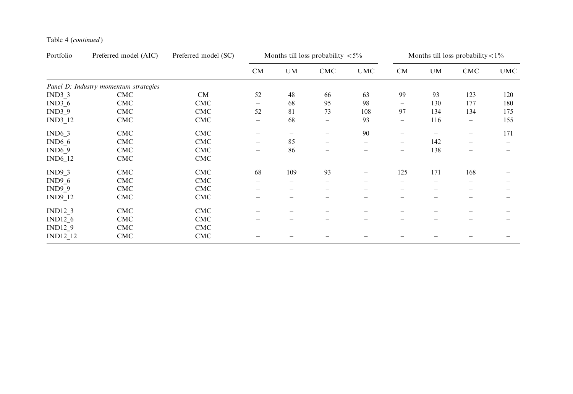| Portfolio         | Preferred model (AIC)                 | Preferred model (SC) |                          |                          | Months till loss probability $\langle 5\%$ |                          | Months till loss probability $\lt 1\%$ |                          |            |            |
|-------------------|---------------------------------------|----------------------|--------------------------|--------------------------|--------------------------------------------|--------------------------|----------------------------------------|--------------------------|------------|------------|
|                   |                                       |                      | CM                       | <b>UM</b>                | <b>CMC</b>                                 | <b>UMC</b>               | CM                                     | <b>UM</b>                | <b>CMC</b> | <b>UMC</b> |
|                   | Panel D: Industry momentum strategies |                      |                          |                          |                                            |                          |                                        |                          |            |            |
| IND3 <sub>3</sub> | <b>CMC</b>                            | CM                   | 52                       | 48                       | 66                                         | 63                       | 99                                     | 93                       | 123        | 120        |
| IND36             | <b>CMC</b>                            | <b>CMC</b>           | $\overline{\phantom{m}}$ | 68                       | 95                                         | 98                       | $\hspace{1.0cm} \rule{1.5cm}{0.15cm}$  | 130                      | 177        | 180        |
| IND39             | <b>CMC</b>                            | <b>CMC</b>           | 52                       | 81                       | 73                                         | 108                      | 97                                     | 134                      | 134        | 175        |
| $IND3_12$         | <b>CMC</b>                            | <b>CMC</b>           | $\overline{\phantom{m}}$ | 68                       | $\qquad \qquad -$                          | 93                       | $\overline{\phantom{m}}$               | 116                      |            | 155        |
| IND6 <sub>3</sub> | <b>CMC</b>                            | <b>CMC</b>           | -                        |                          | -                                          | 90                       | -                                      |                          | -          | 171        |
| IND66             | <b>CMC</b>                            | <b>CMC</b>           | -                        | 85                       | $\qquad \qquad -$                          | $\overline{\phantom{m}}$ | $\qquad \qquad -$                      | 142                      |            |            |
| $IND6_9$          | <b>CMC</b>                            | <b>CMC</b>           | $\overline{\phantom{0}}$ | 86                       |                                            | $\overline{\phantom{m}}$ | $\qquad \qquad -$                      | 138                      |            |            |
| IND6 12           | <b>CMC</b>                            | <b>CMC</b>           |                          | $\overline{\phantom{m}}$ |                                            |                          |                                        | $\qquad \qquad -$        |            |            |
| IND9 <sub>3</sub> | <b>CMC</b>                            | <b>CMC</b>           | 68                       | 109                      | 93                                         | $\overline{\phantom{m}}$ | 125                                    | 171                      | 168        |            |
| IND96             | <b>CMC</b>                            | <b>CMC</b>           | $\overline{\phantom{m}}$ | $\overline{\phantom{m}}$ | $\qquad \qquad -$                          | $\overline{\phantom{m}}$ | $\overline{\phantom{0}}$               | $\overline{\phantom{0}}$ | -          |            |
| IND9 <sub>9</sub> | <b>CMC</b>                            | <b>CMC</b>           |                          | $\qquad \qquad -$        | $\qquad \qquad -$                          | $\qquad \qquad -$        |                                        |                          |            |            |
| IND9_12           | <b>CMC</b>                            | <b>CMC</b>           |                          |                          |                                            |                          |                                        |                          |            |            |
| <b>IND12 3</b>    | <b>CMC</b>                            | <b>CMC</b>           |                          |                          |                                            |                          |                                        |                          |            |            |
| <b>IND12 6</b>    | <b>CMC</b>                            | <b>CMC</b>           |                          | $\overline{\phantom{m}}$ | $\qquad \qquad -$                          | $\qquad \qquad =$        |                                        |                          |            |            |
| <b>IND12 9</b>    | <b>CMC</b>                            | <b>CMC</b>           |                          | $\qquad \qquad -$        | $\qquad \qquad -$                          | $\qquad \qquad =$        |                                        |                          |            |            |
| IND12 12          | <b>CMC</b>                            | <b>CMC</b>           |                          |                          |                                            |                          |                                        |                          |            |            |

Table 4 (continued )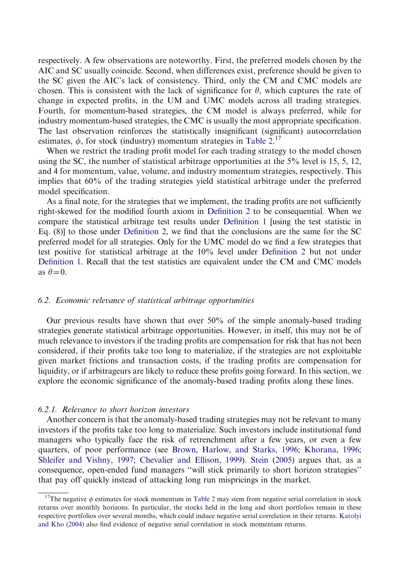respectively. A few observations are noteworthy. First, the preferred models chosen by the AIC and SC usually coincide. Second, when differences exist, preference should be given to the SC given the AIC's lack of consistency. Third, only the CM and CMC models are chosen. This is consistent with the lack of significance for  $\theta$ , which captures the rate of change in expected profits, in the UM and UMC models across all trading strategies. Fourth, for momentum-based strategies, the CM model is always preferred, while for industry momentum-based strategies, the CMC is usually the most appropriate specification. The last observation reinforces the statistically insignificant (significant) autocorrelation estimates,  $\phi$ , for stock (industry) momentum strategies in [Table 2.](#page-18-0)<sup>17</sup>

When we restrict the trading profit model for each trading strategy to the model chosen using the SC, the number of statistical arbitrage opportunities at the 5% level is 15, 5, 12, and 4 for momentum, value, volume, and industry momentum strategies, respectively. This implies that 60% of the trading strategies yield statistical arbitrage under the preferred model specification.

As a final note, for the strategies that we implement, the trading profits are not sufficiently right-skewed for the modified fourth axiom in [Definition 2](#page-7-0) to be consequential. When we compare the statistical arbitrage test results under [Definition 1](#page-5-0) [using the test statistic in Eq. (8)] to those under [Definition 2](#page-7-0), we find that the conclusions are the same for the SC preferred model for all strategies. Only for the UMC model do we find a few strategies that test positive for statistical arbitrage at the 10% level under [Definition 2](#page-7-0) but not under [Definition 1.](#page-5-0) Recall that the test statistics are equivalent under the CM and CMC models as  $\theta = 0$ .

# 6.2. Economic relevance of statistical arbitrage opportunities

Our previous results have shown that over 50% of the simple anomaly-based trading strategies generate statistical arbitrage opportunities. However, in itself, this may not be of much relevance to investors if the trading profits are compensation for risk that has not been considered, if their profits take too long to materialize, if the strategies are not exploitable given market frictions and transaction costs, if the trading profits are compensation for liquidity, or if arbitrageurs are likely to reduce these profits going forward. In this section, we explore the economic significance of the anomaly-based trading profits along these lines.

## 6.2.1. Relevance to short horizon investors

Another concern is that the anomaly-based trading strategies may not be relevant to many investors if the profits take too long to materialize. Such investors include institutional fund managers who typically face the risk of retrenchment after a few years, or even a few quarters, of poor performance (see [Brown, Harlow, and Starks, 1996;](#page-35-0) [Khorana, 1996;](#page-35-0) [Shleifer and Vishny, 1997;](#page-35-0) [Chevalier and Ellison, 1999](#page-35-0)). [Stein \(2005\)](#page-35-0) argues that, as a consequence, open-ended fund managers ''will stick primarily to short horizon strategies'' that pay off quickly instead of attacking long run mispricings in the market.

<sup>&</sup>lt;sup>17</sup>The negative  $\phi$  estimates for stock momentum in [Table 2](#page-18-0) may stem from negative serial correlation in stock returns over monthly horizons. In particular, the stocks held in the long and short portfolios remain in these respective portfolios over several months, which could induce negative serial correlation in their returns. [Karolyi](#page-35-0) [and Kho \(2004\)](#page-35-0) also find evidence of negative serial correlation in stock momentum returns.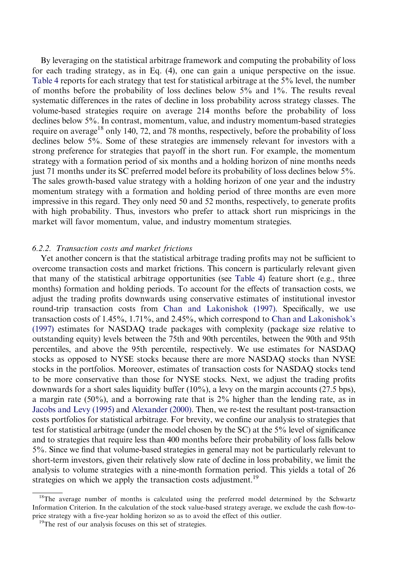By leveraging on the statistical arbitrage framework and computing the probability of loss for each trading strategy, as in Eq. (4), one can gain a unique perspective on the issue. [Table 4](#page-21-0) reports for each strategy that test for statistical arbitrage at the 5% level, the number of months before the probability of loss declines below 5% and 1%. The results reveal systematic differences in the rates of decline in loss probability across strategy classes. The volume-based strategies require on average 214 months before the probability of loss declines below 5%. In contrast, momentum, value, and industry momentum-based strategies require on average<sup>18</sup> only 140, 72, and 78 months, respectively, before the probability of loss declines below 5%. Some of these strategies are immensely relevant for investors with a strong preference for strategies that payoff in the short run. For example, the momentum strategy with a formation period of six months and a holding horizon of nine months needs just 71 months under its SC preferred model before its probability of loss declines below 5%. The sales growth-based value strategy with a holding horizon of one year and the industry momentum strategy with a formation and holding period of three months are even more impressive in this regard. They only need 50 and 52 months, respectively, to generate profits with high probability. Thus, investors who prefer to attack short run mispricings in the market will favor momentum, value, and industry momentum strategies.

# 6.2.2. Transaction costs and market frictions

Yet another concern is that the statistical arbitrage trading profits may not be sufficient to overcome transaction costs and market frictions. This concern is particularly relevant given that many of the statistical arbitrage opportunities (see [Table 4\)](#page-21-0) feature short (e.g., three months) formation and holding periods. To account for the effects of transaction costs, we adjust the trading profits downwards using conservative estimates of institutional investor round-trip transaction costs from [Chan and Lakonishok \(1997\)](#page-35-0). Specifically, we use transaction costs of 1.45%, 1.71%, and 2.45%, which correspond to [Chan and Lakonishok's](#page-35-0) [\(1997\)](#page-35-0) estimates for NASDAQ trade packages with complexity (package size relative to outstanding equity) levels between the 75th and 90th percentiles, between the 90th and 95th percentiles, and above the 95th percentile, respectively. We use estimates for NASDAQ stocks as opposed to NYSE stocks because there are more NASDAQ stocks than NYSE stocks in the portfolios. Moreover, estimates of transaction costs for NASDAQ stocks tend to be more conservative than those for NYSE stocks. Next, we adjust the trading profits downwards for a short sales liquidity buffer (10%), a levy on the margin accounts (27.5 bps), a margin rate  $(50\%)$ , and a borrowing rate that is  $2\%$  higher than the lending rate, as in [Jacobs and Levy \(1995\)](#page-35-0) and [Alexander \(2000\)](#page-34-0). Then, we re-test the resultant post-transaction costs portfolios for statistical arbitrage. For brevity, we confine our analysis to strategies that test for statistical arbitrage (under the model chosen by the SC) at the 5% level of significance and to strategies that require less than 400 months before their probability of loss falls below 5%. Since we find that volume-based strategies in general may not be particularly relevant to short-term investors, given their relatively slow rate of decline in loss probability, we limit the analysis to volume strategies with a nine-month formation period. This yields a total of 26 strategies on which we apply the transaction costs adjustment.<sup>19</sup>

<sup>&</sup>lt;sup>18</sup>The average number of months is calculated using the preferred model determined by the Schwartz Information Criterion. In the calculation of the stock value-based strategy average, we exclude the cash flow-toprice strategy with a five-year holding horizon so as to avoid the effect of this outlier.

<sup>&</sup>lt;sup>19</sup>The rest of our analysis focuses on this set of strategies.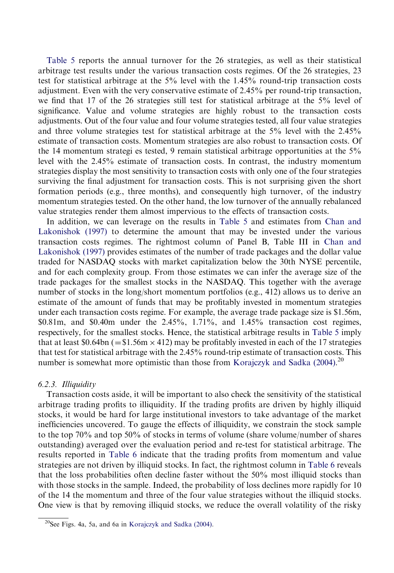[Table 5](#page-27-0) reports the annual turnover for the 26 strategies, as well as their statistical arbitrage test results under the various transaction costs regimes. Of the 26 strategies, 23 test for statistical arbitrage at the 5% level with the 1.45% round-trip transaction costs adjustment. Even with the very conservative estimate of 2.45% per round-trip transaction, we find that 17 of the 26 strategies still test for statistical arbitrage at the 5% level of significance. Value and volume strategies are highly robust to the transaction costs adjustments. Out of the four value and four volume strategies tested, all four value strategies and three volume strategies test for statistical arbitrage at the 5% level with the 2.45% estimate of transaction costs. Momentum strategies are also robust to transaction costs. Of the 14 momentum strategi es tested, 9 remain statistical arbitrage opportunities at the 5% level with the 2.45% estimate of transaction costs. In contrast, the industry momentum strategies display the most sensitivity to transaction costs with only one of the four strategies surviving the final adjustment for transaction costs. This is not surprising given the short formation periods (e.g., three months), and consequently high turnover, of the industry momentum strategies tested. On the other hand, the low turnover of the annually rebalanced value strategies render them almost impervious to the effects of transaction costs.

In addition, we can leverage on the results in [Table 5](#page-27-0) and estimates from [Chan and](#page-35-0) [Lakonishok \(1997\)](#page-35-0) to determine the amount that may be invested under the various transaction costs regimes. The rightmost column of Panel B, Table III in [Chan and](#page-35-0) [Lakonishok \(1997\)](#page-35-0) provides estimates of the number of trade packages and the dollar value traded for NASDAQ stocks with market capitalization below the 30th NYSE percentile, and for each complexity group. From those estimates we can infer the average size of the trade packages for the smallest stocks in the NASDAQ. This together with the average number of stocks in the long/short momentum portfolios (e.g., 412) allows us to derive an estimate of the amount of funds that may be profitably invested in momentum strategies under each transaction costs regime. For example, the average trade package size is \$1.56m, \$0.81m, and \$0.40m under the 2.45%, 1.71%, and 1.45% transaction cost regimes, respectively, for the smallest stocks. Hence, the statistical arbitrage results in [Table 5](#page-27-0) imply that at least \$0.64bn (= \$1.56m  $\times$  412) may be profitably invested in each of the 17 strategies that test for statistical arbitrage with the 2.45% round-trip estimate of transaction costs. This number is somewhat more optimistic than those from [Korajczyk and Sadka \(2004\)](#page-35-0).<sup>20</sup>

## 6.2.3. Illiquidity

Transaction costs aside, it will be important to also check the sensitivity of the statistical arbitrage trading profits to illiquidity. If the trading profits are driven by highly illiquid stocks, it would be hard for large institutional investors to take advantage of the market inefficiencies uncovered. To gauge the effects of illiquidity, we constrain the stock sample to the top 70% and top 50% of stocks in terms of volume (share volume/number of shares outstanding) averaged over the evaluation period and re-test for statistical arbitrage. The results reported in [Table 6](#page-28-0) indicate that the trading profits from momentum and value strategies are not driven by illiquid stocks. In fact, the rightmost column in [Table 6](#page-28-0) reveals that the loss probabilities often decline faster without the 50% most illiquid stocks than with those stocks in the sample. Indeed, the probability of loss declines more rapidly for 10 of the 14 the momentum and three of the four value strategies without the illiquid stocks. One view is that by removing illiquid stocks, we reduce the overall volatility of the risky

 $20$ See Figs. 4a, 5a, and 6a in [Korajczyk and Sadka \(2004\).](#page-35-0)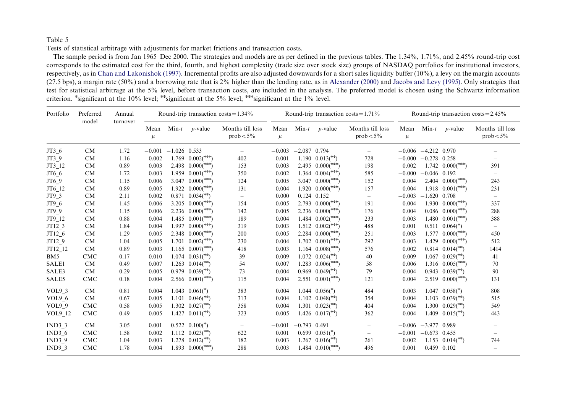<span id="page-27-0"></span>Tests of statistical arbitrage with adjustments for market frictions and transaction costs.

The sample period is from Jan 1965–Dec 2000. The strategies and models are as per defined in the previous tables. The 1.34%, 1.71%, and 2.45% round-trip cost corresponds to the estimated cost for the third, fourth, and highest complexity (trade size over stock size) groups of NASDAQ portfolios for institutional investors, respectively, as in Chan and [Lakonishok](#page-35-0) (1997). Incremental profits are also adjusted downwards for <sup>a</sup> short sales liquidity buffer (10%), <sup>a</sup> levy on the margin accounts (27.5 bps), <sup>a</sup> margin rate (50%) and <sup>a</sup> borrowing rate that is 2% higher than the lending rate, as in [Alexander](#page-34-0) (2000) and Jacobs and Levy [\(1995\)](#page-35-0). Only strategies that test for statistical arbitrage at the 5% level, before transaction costs, are included in the analysis. The preferred model is chosen using the Schwartz information criterion. \*significant at the 10% level; \*\*significant at the 5% level; \*\*significant at the 1% level.

| Portfolio         | Preferred<br>model | Annual<br>turnover |               |                |                                      | Round-trip transaction $costs = 1.34\%$ |               | Round-trip transaction $costs = 1.71\%$ |                                      |                                  | Round-trip transaction $costs = 2.45\%$ |                         |                                      |                                  |
|-------------------|--------------------|--------------------|---------------|----------------|--------------------------------------|-----------------------------------------|---------------|-----------------------------------------|--------------------------------------|----------------------------------|-----------------------------------------|-------------------------|--------------------------------------|----------------------------------|
|                   |                    |                    | Mean<br>$\mu$ | $Min-t$        | $p$ -value                           | Months till loss<br>$prob < 5\%$        | Mean<br>$\mu$ | $Min-t$                                 | <i>p</i> -value                      | Months till loss<br>$prob < 5\%$ | Mean<br>$\mu$                           | $Min-t$                 | $p$ -value                           | Months till loss<br>$prob < 5\%$ |
| JT3 6             | <b>CM</b>          | 1.72               | $-0.001$      | $-1.026$ 0.533 |                                      |                                         |               | $-0.003$ $-2.087$ 0.794                 |                                      |                                  |                                         | $-0.006$ $-4.212$ 0.970 |                                      |                                  |
| JT3 9             | <b>CM</b>          | 1.16               | 0.002         |                | $1.769$ $0.002$ (***)                | 402                                     | 0.001         |                                         | $1.190 \quad 0.013$ <sup>**</sup> )  | 728                              | $-0.000$                                | $-0.278$ 0.258          |                                      |                                  |
| $JT3_12$          | CM                 | 0.89               | 0.003         |                | 2.498 $0.000$ <sup>***</sup> )       | 153                                     | 0.003         |                                         | $2.495 \quad 0.000$ (***)            | 198                              | 0.002                                   |                         | $1.742 \quad 0.000$ (***)            | 391                              |
| JT6 6             | <b>CM</b>          | 1.72               | 0.003         |                | $1.959 \quad 0.001$ (***)            | 350                                     | 0.002         |                                         | 1.364 $0.004$ <sup>***</sup> )       | 585                              | $-0.000$                                | $-0.046$ 0.192          |                                      |                                  |
| JT6 9             | <b>CM</b>          | 1.15               | 0.006         |                | 3.047 $0.000$ <sup>***</sup> )       | 124                                     | 0.005         |                                         | 3.047 $0.000$ <sup>***</sup> )       | 152                              | 0.004                                   |                         | $2.404$ $0.000$ (***)                | 243                              |
| JT6 12            | <b>CM</b>          | 0.89               | 0.005         |                | $1.922 \quad 0.000$ (***)            | 131                                     | 0.004         |                                         | $1.920 \quad 0.000$ <sup>***</sup> ) | 157                              | 0.004                                   |                         | $1.918$ $0.001$ (***)                | 231                              |
| JT9 3             | <b>CM</b>          | 2.11               | 0.002         |                | $0.871$ $0.034$ <sup>**</sup> )      | $\overline{\phantom{0}}$                | 0.000         |                                         | 0.124 0.152                          | $\overline{\phantom{0}}$         | $-0.003$                                | $-1.620$ 0.708          |                                      | $\overline{\phantom{m}}$         |
| JT9 6             | <b>CM</b>          | 1.45               | 0.006         |                | 3.205 $0.000$ <sup>***</sup> )       | 154                                     | 0.005         |                                         | $2.793$ $0.000$ <sup>***</sup> )     | 191                              | 0.004                                   |                         | $1.930 \quad 0.000$ (***)            | 337                              |
| JT9 9             | <b>CM</b>          | 1.15               | 0.006         |                | $2.236 \quad 0.000$ (***)            | 142                                     | 0.005         |                                         | $2.236$ $0.000$ <sup>***</sup> )     | 176                              | 0.004                                   |                         | $0.086$ $0.000$ (***)                | 288                              |
| JT9 12            | <b>CM</b>          | 0.88               | 0.004         |                | 1.485 $0.001$ <sup>(***</sup> )      | 189                                     | 0.004         |                                         | $1.484 \quad 0.002$ <sup>***</sup> ) | 233                              | 0.003                                   |                         | $1.480 \quad 0.001$ (***)            | 388                              |
| $JTI2_3$          | <b>CM</b>          | 1.84               | 0.004         |                | $1.997 \quad 0.000$ <sup>***</sup> ) | 319                                     | 0.003         |                                         | $1.512 \quad 0.002$ (***)            | 488                              | 0.001                                   |                         | $0.511 \quad 0.064$ <sup>*</sup> )   | $\overline{\phantom{m}}$         |
| JT12 6            | <b>CM</b>          | 1.29               | 0.005         |                | $2.348 \quad 0.000$ <sup>***</sup> ) | 200                                     | 0.005         |                                         | $2.284$ $0.000$ <sup>***</sup> )     | 251                              | 0.003                                   |                         | $1.577 \quad 0.000$ <sup>***</sup> ) | 450                              |
| JT12 9            | <b>CM</b>          | 1.04               | 0.005         |                | $1.701 \quad 0.002$ <sup>***</sup> ) | 230                                     | 0.004         |                                         | $1.702 \quad 0.001$ <sup>***</sup> ) | 292                              | 0.003                                   |                         | $1.429 \quad 0.000$ <sup>***</sup> ) | 512                              |
| JT12_12           | CM                 | 0.89               | 0.003         |                | 1.165 $0.007$ <sup>***</sup> )       | 418                                     | 0.003         |                                         | $1.164 \quad 0.008$ <sup>***</sup> ) | 576                              | 0.002                                   |                         | $0.814 \quad 0.014$ <sup>**</sup> )  | 1414                             |
| BM5               | <b>CMC</b>         | 0.17               | 0.010         |                | $1.074 \quad 0.031$ <sup>**</sup> )  | 39                                      | 0.009         |                                         | $1.072 \quad 0.024$ <sup>**</sup> )  | 40                               | 0.009                                   |                         | $1.067$ $0.029$ <sup>**</sup> )      | 41                               |
| SALE1             | CM                 | 0.49               | 0.007         |                | $1.263$ $0.014$ <sup>**</sup> )      | 54                                      | 0.007         |                                         | $1.283$ $0.006$ <sup>***</sup> )     | 58                               | 0.006                                   |                         | $1.316 \quad 0.005$ <sup>***</sup> ) | 70                               |
| SALE3             | CM                 | 0.29               | 0.005         |                | $0.979$ $0.039$ <sup>**</sup> )      | 73                                      | 0.004         |                                         | $0.969$ $0.049$ <sup>**</sup> )      | 79                               | 0.004                                   |                         | $0.943$ $0.039$ <sup>**</sup> )      | 90                               |
| SALE5             | <b>CMC</b>         | 0.18               | 0.004         |                | $2.566 \quad 0.001$ (***)            | 115                                     | 0.004         |                                         | $2.551 \quad 0.001$ (***)            | 121                              | 0.004                                   |                         | $2.519 \quad 0.000$ (***)            | 131                              |
| VOL9 3            | <b>CM</b>          | 0.81               | 0.004         |                | $1.043 \quad 0.061$ <sup>*</sup> )   | 383                                     | 0.004         |                                         | $1.044 \quad 0.056$ <sup>*</sup> )   | 484                              | 0.003                                   |                         | $1.047$ $0.058$ <sup>*</sup> )       | 808                              |
| VOL9 6            | CM                 | 0.67               | 0.005         |                | $1.101 \quad 0.046$ <sup>**</sup> )  | 313                                     | 0.004         |                                         | $1.102 \quad 0.048$ <sup>**</sup> )  | 354                              | 0.004                                   |                         | $1.103 \quad 0.039$ <sup>**</sup> )  | 515                              |
| VOL9 9            | <b>CMC</b>         | 0.58               | 0.005         |                | $1.302 \quad 0.027$ <sup>**</sup> )  | 358                                     | 0.004         |                                         | $1.301 \quad 0.023$ <sup>**</sup> )  | 404                              | 0.004                                   |                         | $1.300 \quad 0.029$ <sup>**</sup> )  | 549                              |
| VOL9_12           | CMC                | 0.49               | 0.005         |                | 1.427 $0.011$ <sup>**</sup> )        | 323                                     | 0.005         |                                         | $1.426$ $0.017$ <sup>**</sup> )      | 362                              | 0.004                                   |                         | $1.409$ $0.015$ <sup>**</sup> )      | 443                              |
| IND3 <sub>3</sub> | <b>CM</b>          | 3.05               | 0.001         |                | $0.522 \quad 0.100$ <sup>*</sup> )   | $\overline{\phantom{0}}$                | $-0.001$      | $-0.793$ 0.491                          |                                      | $\overline{\phantom{a}}$         | $-0.006$                                | $-3.977$ 0.989          |                                      |                                  |
| $IND3_6$          | <b>CMC</b>         | 1.58               | 0.002         |                | $1.112 \quad 0.023$ <sup>**</sup> )  | 622                                     | 0.001         |                                         | $0.699$ $0.051$ <sup>*</sup> )       | $\overline{\phantom{a}}$         | $-0.001$                                | $-0.673$ 0.455          |                                      |                                  |
| IND3 9            | <b>CMC</b>         | 1.04               | 0.003         |                | $1.278$ $0.012$ <sup>**</sup> )      | 182                                     | 0.003         |                                         | $1.267$ $0.016$ <sup>**</sup> )      | 261                              | 0.002                                   |                         | 1.153 $0.014$ <sup>**</sup> )        | 744                              |
| IND9 <sub>3</sub> | <b>CMC</b>         | 1.78               | 0.004         |                | $1.893$ $0.000$ (***)                | 288                                     | 0.003         |                                         | 1.484 $0.010$ <sup>***</sup> )       | 496                              | 0.001                                   | 0.459 0.102             |                                      |                                  |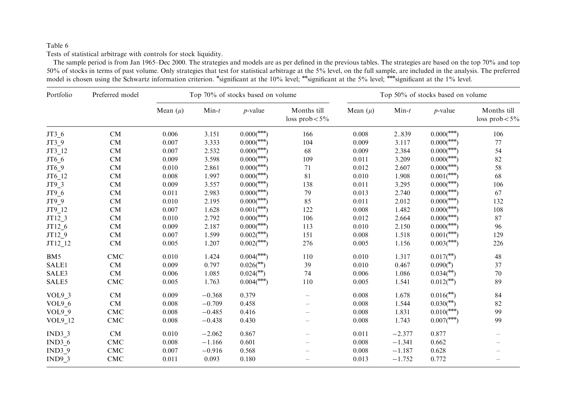<span id="page-28-0"></span>Tests of statistical arbitrage with controls for stock liquidity.

The sample period is from Jan 1965–Dec 2000. The strategies and models are as per defined in the previous tables. The strategies are based on the top 70% and top 50% of stocks in terms of past volume. Only strategies that test for statistical arbitrage at the 5% level, on the full sample, are included in the analysis. The preferred model is chosen using the Schwartz information criterion. \*significant at the 10% level; \*\*significant at the 5% level; \*\*\*significant at the 1% level.

| Portfolio         | Preferred model |              |          | Top 70% of stocks based on volume |                                 | Top 50% of stocks based on volume |          |                            |                                 |  |  |
|-------------------|-----------------|--------------|----------|-----------------------------------|---------------------------------|-----------------------------------|----------|----------------------------|---------------------------------|--|--|
|                   |                 | Mean $(\mu)$ | $Min-t$  | $p$ -value                        | Months till<br>loss prob $<$ 5% | Mean $(\mu)$                      | $Min-t$  | $p$ -value                 | Months till<br>loss prob $<$ 5% |  |  |
| JT3 6             | <b>CM</b>       | 0.006        | 3.151    | $0.000$ <sup>(***</sup> )         | 166                             | 0.008                             | 2.839    | $0.000$ <sup>(***)</sup> ) | 106                             |  |  |
| $JT3_9$           | CM              | 0.007        | 3.333    | $0.000$ <sup>(***</sup> )         | 104                             | 0.009                             | 3.117    | $0.000$ <sup>(***</sup> )  | 77                              |  |  |
| JT3 12            | CM              | 0.007        | 2.532    | $0.000$ (***                      | 68                              | 0.009                             | 2.384    | $0.000$ (***)              | 54                              |  |  |
| JT6 6             | <b>CM</b>       | 0.009        | 3.598    | $0.000(^\mathrm{keck})$           | 109                             | 0.011                             | 3.209    | $0.000(^\mathrm{keke}$     | 82                              |  |  |
| JT6_9             | CM              | 0.010        | 2.861    | $0.000$ <sup>(***</sup> )         | 71                              | 0.012                             | 2.607    | $0.000$ <sup>(***)</sup> ) | 58                              |  |  |
| JT6 12            | CM              | 0.008        | 1.997    | $0.000(^{\rm kobs})$              | 81                              | 0.010                             | 1.908    | $0.001$ (***)              | 68                              |  |  |
| $JT9_3$           | <b>CM</b>       | 0.009        | 3.557    | $0.000$ (***                      | 138                             | 0.011                             | 3.295    | $0.000$ (***)              | 106                             |  |  |
| JT9_6             | <b>CM</b>       | 0.011        | 2.983    | $0.000$ <sup>(***</sup> )         | 79                              | 0.013                             | 2.740    | $0.000$ <sup>(***</sup> )  | 67                              |  |  |
| JT9 9             | <b>CM</b>       | 0.010        | 2.195    | $0.000$ <sup>(***</sup> )         | 85                              | 0.011                             | 2.012    | $0.000$ <sup>(***)</sup> ) | 132                             |  |  |
| JT9_12            | <b>CM</b>       | 0.007        | 1.628    | $0.001$ (***)                     | 122                             | 0.008                             | 1.482    | $0.000$ <sup>(***)</sup> ) | 108                             |  |  |
| JT12 3            | <b>CM</b>       | 0.010        | 2.792    | $0.000$ <sup>****</sup>           | 106                             | 0.012                             | 2.664    | $0.000(^\mathrm{keks}$     | 87                              |  |  |
| JT12 6            | <b>CM</b>       | 0.009        | 2.187    | $0.000$ <sup>(***</sup> )         | 113                             | 0.010                             | 2.150    | $0.000$ (***)              | 96                              |  |  |
| JT12 9            | CM              | 0.007        | 1.599    | $0.002$ <sup>(****)</sup> )       | 151                             | 0.008                             | 1.518    | $0.001($ <sup>***</sup> )  | 129                             |  |  |
| JT12_12           | CM              | 0.005        | 1.207    | $0.002$ <sup>(***</sup> )         | 276                             | 0.005                             | 1.156    | $0.003$ <sup>(***</sup> )  | 226                             |  |  |
| BM5               | <b>CMC</b>      | 0.010        | 1.424    | $0.004$ <sup>(***</sup> )         | 110                             | 0.010                             | 1.317    | $0.017$ <sup>(**)</sup> )  | 48                              |  |  |
| SALE1             | CM              | 0.009        | 0.797    | $0.026$ <sup>**</sup> )           | 39                              | 0.010                             | 0.467    | $0.090(*)$                 | 37                              |  |  |
| SALE3             | CM              | 0.006        | 1.085    | $0.024$ <sup>(**)</sup> )         | 74                              | 0.006                             | 1.086    | $0.034$ <sup>**</sup> )    | 70                              |  |  |
| SALE5             | <b>CMC</b>      | 0.005        | 1.763    | $0.004($ ***                      | 110                             | 0.005                             | 1.541    | $0.012$ <sup>**</sup> )    | 89                              |  |  |
| VOL9 3            | <b>CM</b>       | 0.009        | $-0.368$ | 0.379                             | $\overline{\phantom{0}}$        | 0.008                             | 1.678    | $0.016$ <sup>(**)</sup> )  | 84                              |  |  |
| VOL9 6            | CM              | 0.008        | $-0.709$ | 0.458                             | $\overline{\phantom{m}}$        | 0.008                             | 1.544    | $0.030$ <sup>(**)</sup> )  | 82                              |  |  |
| VOL9 9            | <b>CMC</b>      | 0.008        | $-0.485$ | 0.416                             |                                 | 0.008                             | 1.831    | $0.010$ <sup>(***</sup> )  | 99                              |  |  |
| VOL9_12           | CMC             | 0.008        | $-0.438$ | 0.430                             | $\overline{\phantom{0}}$        | 0.008                             | 1.743    | $0.007$ <sup>(***</sup> )  | 99                              |  |  |
| $IND3_3$          | CM              | 0.010        | $-2.062$ | 0.867                             | $\overline{\phantom{m}}$        | 0.011                             | $-2.377$ | 0.877                      | $\overline{\phantom{0}}$        |  |  |
| IND $36$          | <b>CMC</b>      | 0.008        | $-1.166$ | 0.601                             |                                 | 0.008                             | $-1.341$ | 0.662                      |                                 |  |  |
| IND3 9            | CMC             | 0.007        | $-0.916$ | 0.568                             | $\overline{\phantom{0}}$        | 0.008                             | $-1.187$ | 0.628                      |                                 |  |  |
| IND9 <sub>3</sub> | <b>CMC</b>      | 0.011        | 0.093    | 0.180                             | $\overline{\phantom{0}}$        | 0.013                             | $-1.752$ | 0.772                      |                                 |  |  |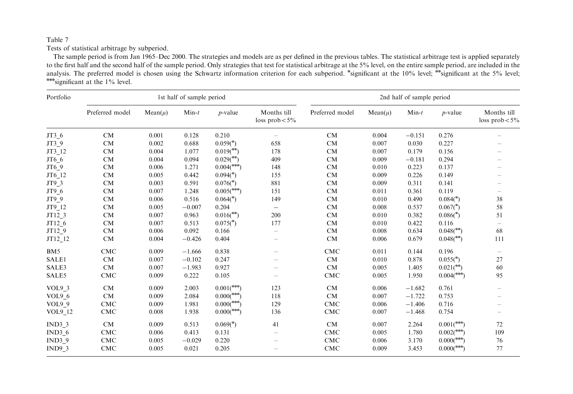<span id="page-29-0"></span>Tests of statistical arbitrage by subperiod.

The sample period is from Jan 1965–Dec 2000. The strategies and models are as per defined in the previous tables. The statistical arbitrage test is applied separately to the first half and the second half of the sample period. Only strategies that test for statistical arbitrage at the 5% level, on the entire sample period, are included in the analysis. The preferred model is chosen using the Schwartz information criterion for each subperiod. \*significant at the 10% level; \*\*significant at the 5% level;  $\frac{1}{2}$ significant at the 1% level.

| Portfolio      |                 |             | 1st half of sample period |                           |                                 | 2nd half of sample period |             |          |                            |                                 |  |  |
|----------------|-----------------|-------------|---------------------------|---------------------------|---------------------------------|---------------------------|-------------|----------|----------------------------|---------------------------------|--|--|
|                | Preferred model | $Mean(\mu)$ | $Min-t$                   | $p$ -value                | Months till<br>loss prob $<$ 5% | Preferred model           | $Mean(\mu)$ | $Min-t$  | $p$ -value                 | Months till<br>loss prob $<$ 5% |  |  |
| $JT3_6$        | <b>CM</b>       | 0.001       | 0.128                     | 0.210                     |                                 | <b>CM</b>                 | 0.004       | $-0.151$ | 0.276                      |                                 |  |  |
| JT3 9          | <b>CM</b>       | 0.002       | 0.688                     | $0.059$ <sup>*</sup> )    | 658                             | <b>CM</b>                 | 0.007       | 0.030    | 0.227                      |                                 |  |  |
| $JT3_12$       | <b>CM</b>       | 0.004       | 1.077                     | $0.019$ <sup>**</sup> )   | 178                             | <b>CM</b>                 | 0.007       | 0.179    | 0.156                      | $\overline{\phantom{a}}$        |  |  |
| JT6 6          | <b>CM</b>       | 0.004       | 0.094                     | $0.029$ <sup>**</sup> )   | 409                             | <b>CM</b>                 | 0.009       | $-0.181$ | 0.294                      | $\overline{\phantom{m}}$        |  |  |
| JT6 9          | <b>CM</b>       | 0.006       | 1.271                     | $0.004$ <sup>(***</sup> ) | 148                             | <b>CM</b>                 | 0.010       | 0.223    | 0.137                      | $\overline{\phantom{a}}$        |  |  |
| JT6 12         | <b>CM</b>       | 0.005       | 0.442                     | $0.094$ <sup>*</sup> )    | 155                             | <b>CM</b>                 | 0.009       | 0.226    | 0.149                      |                                 |  |  |
| $JT9_3$        | <b>CM</b>       | 0.003       | 0.591                     | $0.076$ <sup>*</sup> )    | 881                             | <b>CM</b>                 | 0.009       | 0.311    | 0.141                      | $\qquad \qquad -$               |  |  |
| JT9 6          | <b>CM</b>       | 0.007       | 1.248                     | $0.005$ <sup>***</sup> )  | 151                             | <b>CM</b>                 | 0.011       | 0.361    | 0.119                      |                                 |  |  |
| JT9_9          | <b>CM</b>       | 0.006       | 0.516                     | $0.064$ <sup>*</sup> )    | 149                             | <b>CM</b>                 | 0.010       | 0.490    | $0.084$ <sup>*</sup> )     | 38                              |  |  |
| JT9_12         | <b>CM</b>       | 0.005       | $-0.007$                  | 0.204                     | $\overline{\phantom{m}}$        | <b>CM</b>                 | 0.008       | 0.537    | $0.067$ <sup>*</sup> )     | 58                              |  |  |
| JT12 3         | <b>CM</b>       | 0.007       | 0.963                     | $0.016$ <sup>**</sup> )   | 200                             | <b>CM</b>                 | 0.010       | 0.382    | $0.086$ <sup>*</sup> )     | 51                              |  |  |
| JT12 6         | <b>CM</b>       | 0.007       | 0.513                     | $0.075$ <sup>*</sup> )    | 177                             | <b>CM</b>                 | 0.010       | 0.422    | 0.116                      | $\overline{\phantom{a}}$        |  |  |
| JT12 9         | <b>CM</b>       | 0.006       | 0.092                     | 0.166                     | $\overline{\phantom{0}}$        | CM                        | 0.008       | 0.634    | $0.048$ <sup>**</sup> )    | 68                              |  |  |
| JT12_12        | <b>CM</b>       | 0.004       | $-0.426$                  | 0.404                     | $\overline{\phantom{0}}$        | <b>CM</b>                 | 0.006       | 0.679    | $0.048$ <sup>**</sup> )    | 111                             |  |  |
| BM5            | <b>CMC</b>      | 0.009       | $-1.666$                  | 0.838                     | $\overline{\phantom{0}}$        | <b>CMC</b>                | 0.011       | 0.144    | 0.196                      | $\qquad \qquad -$               |  |  |
| SALE1          | <b>CM</b>       | 0.007       | $-0.102$                  | 0.247                     | $\overline{\phantom{0}}$        | <b>CM</b>                 | 0.010       | 0.878    | $0.055$ <sup>*</sup> )     | 27                              |  |  |
| SALE3          | <b>CM</b>       | 0.007       | $-1.983$                  | 0.927                     | $\qquad \qquad -$               | <b>CM</b>                 | 0.005       | 1.405    | $0.021$ <sup>**</sup> )    | 60                              |  |  |
| SALE5          | <b>CMC</b>      | 0.009       | 0.222                     | 0.105                     | $\overline{\phantom{0}}$        | <b>CMC</b>                | 0.005       | 1.950    | $0.004$ <sup>(***)</sup> ) | 95                              |  |  |
| $VOL9_3$       | <b>CM</b>       | 0.009       | 2.003                     | $0.001$ <sup>***</sup> )  | 123                             | <b>CM</b>                 | 0.006       | $-1.682$ | 0.761                      |                                 |  |  |
| VOL9 6         | <b>CM</b>       | 0.009       | 2.084                     | $0.000$ (***)             | 118                             | <b>CM</b>                 | 0.007       | $-1.722$ | 0.753                      |                                 |  |  |
| VOL9 9         | <b>CMC</b>      | 0.009       | 1.981                     | $0.000$ $(***)$           | 129                             | <b>CMC</b>                | 0.006       | $-1.406$ | 0.716                      |                                 |  |  |
| <b>VOL9_12</b> | <b>CMC</b>      | 0.008       | 1.938                     | $0.000$ <sup>***</sup> )  | 136                             | <b>CMC</b>                | 0.007       | $-1.468$ | 0.754                      | $\qquad \qquad -$               |  |  |
| IND3 3         | <b>CM</b>       | 0.009       | 0.513                     | $0.069$ <sup>*</sup> )    | 41                              | <b>CM</b>                 | 0.007       | 2.264    | $0.001$ (***)              | 72                              |  |  |
| IND $36$       | <b>CMC</b>      | 0.006       | 0.413                     | 0.131                     | $\overline{\phantom{0}}$        | <b>CMC</b>                | 0.005       | 1.780    | $0.002$ <sup>***</sup> )   | 109                             |  |  |
| IND39          | <b>CMC</b>      | 0.005       | $-0.029$                  | 0.220                     | $\overline{\phantom{0}}$        | <b>CMC</b>                | 0.006       | 3.170    | $0.000$ (***)              | 76                              |  |  |
| IND9 3         | <b>CMC</b>      | 0.005       | 0.021                     | 0.205                     |                                 | <b>CMC</b>                | 0.009       | 3.453    | $0.000$ <sup>***</sup> )   | 77                              |  |  |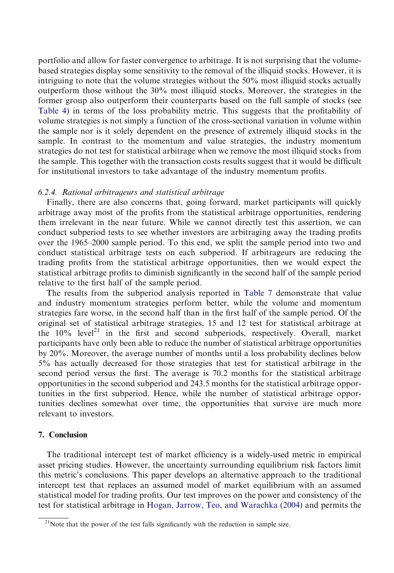<span id="page-30-0"></span>portfolio and allow for faster convergence to arbitrage. It is not surprising that the volumebased strategies display some sensitivity to the removal of the illiquid stocks. However, it is intriguing to note that the volume strategies without the 50% most illiquid stocks actually outperform those without the 30% most illiquid stocks. Moreover, the strategies in the former group also outperform their counterparts based on the full sample of stocks (see [Table 4\)](#page-21-0) in terms of the loss probability metric. This suggests that the profitability of volume strategies is not simply a function of the cross-sectional variation in volume within the sample nor is it solely dependent on the presence of extremely illiquid stocks in the sample. In contrast to the momentum and value strategies, the industry momentum strategies do not test for statistical arbitrage when we remove the most illiquid stocks from the sample. This together with the transaction costs results suggest that it would be difficult for institutional investors to take advantage of the industry momentum profits.

# 6.2.4. Rational arbitrageurs and statistical arbitrage

Finally, there are also concerns that, going forward, market participants will quickly arbitrage away most of the profits from the statistical arbitrage opportunities, rendering them irrelevant in the near future. While we cannot directly test this assertion, we can conduct subperiod tests to see whether investors are arbitraging away the trading profits over the 1965–2000 sample period. To this end, we split the sample period into two and conduct statistical arbitrage tests on each subperiod. If arbitrageurs are reducing the trading profits from the statistical arbitrage opportunities, then we would expect the statistical arbitrage profits to diminish significantly in the second half of the sample period relative to the first half of the sample period.

The results from the subperiod analysis reported in [Table 7](#page-29-0) demonstrate that value and industry momentum strategies perform better, while the volume and momentum strategies fare worse, in the second half than in the first half of the sample period. Of the original set of statistical arbitrage strategies, 15 and 12 test for statistical arbitrage at the  $10\%$  level<sup>21</sup> in the first and second subperiods, respectively. Overall, market participants have only been able to reduce the number of statistical arbitrage opportunities by 20%. Moreover, the average number of months until a loss probability declines below 5% has actually decreased for those strategies that test for statistical arbitrage in the second period versus the first. The average is 70.2 months for the statistical arbitrage opportunities in the second subperiod and 243.5 months for the statistical arbitrage opportunities in the first subperiod. Hence, while the number of statistical arbitrage opportunities declines somewhat over time, the opportunities that survive are much more relevant to investors.

# 7. Conclusion

The traditional intercept test of market efficiency is a widely-used metric in empirical asset pricing studies. However, the uncertainty surrounding equilibrium risk factors limit this metric's conclusions. This paper develops an alternative approach to the traditional intercept test that replaces an assumed model of market equilibrium with an assumed statistical model for trading profits. Our test improves on the power and consistency of the test for statistical arbitrage in [Hogan, Jarrow, Teo, and Warachka \(2004\)](#page-35-0) and permits the

 $21$ Note that the power of the test falls significantly with the reduction in sample size.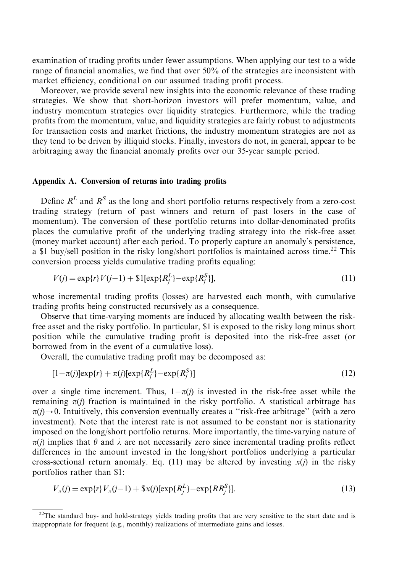<span id="page-31-0"></span>examination of trading profits under fewer assumptions. When applying our test to a wide range of financial anomalies, we find that over 50% of the strategies are inconsistent with market efficiency, conditional on our assumed trading profit process.

Moreover, we provide several new insights into the economic relevance of these trading strategies. We show that short-horizon investors will prefer momentum, value, and industry momentum strategies over liquidity strategies. Furthermore, while the trading profits from the momentum, value, and liquidity strategies are fairly robust to adjustments for transaction costs and market frictions, the industry momentum strategies are not as they tend to be driven by illiquid stocks. Finally, investors do not, in general, appear to be arbitraging away the financial anomaly profits over our 35-year sample period.

# Appendix A. Conversion of returns into trading profits

Define  $R^L$  and  $R^S$  as the long and short portfolio returns respectively from a zero-cost trading strategy (return of past winners and return of past losers in the case of momentum). The conversion of these portfolio returns into dollar-denominated profits places the cumulative profit of the underlying trading strategy into the risk-free asset (money market account) after each period. To properly capture an anomaly's persistence, a \$1 buy/sell position in the risky long/short portfolios is maintained across time.<sup>22</sup> This conversion process yields cumulative trading profits equaling:

$$
V(j) = \exp\{r\} V(j-1) + \Im\{[\exp\{R_j^L\} - \exp\{R_j^S\}],\tag{11}
$$

whose incremental trading profits (losses) are harvested each month, with cumulative trading profits being constructed recursively as a consequence.

Observe that time-varying moments are induced by allocating wealth between the riskfree asset and the risky portfolio. In particular, \$1 is exposed to the risky long minus short position while the cumulative trading profit is deposited into the risk-free asset (or borrowed from in the event of a cumulative loss).

Overall, the cumulative trading profit may be decomposed as:

$$
[1 - \pi(j)] \exp\{r\} + \pi(j) [\exp\{R_j^L\} - \exp\{R_j^S\}]
$$
\n(12)

over a single time increment. Thus,  $1-\pi(j)$  is invested in the risk-free asset while the remaining  $\pi(j)$  fraction is maintained in the risky portfolio. A statistical arbitrage has  $\pi(j) \rightarrow 0$ . Intuitively, this conversion eventually creates a "risk-free arbitrage" (with a zero investment). Note that the interest rate is not assumed to be constant nor is stationarity imposed on the long/short portfolio returns. More importantly, the time-varying nature of  $\pi(j)$  implies that  $\theta$  and  $\lambda$  are not necessarily zero since incremental trading profits reflect differences in the amount invested in the long/short portfolios underlying a particular cross-sectional return anomaly. Eq. (11) may be altered by investing  $x(j)$  in the risky portfolios rather than \$1:

$$
V_x(j) = \exp\{r\} V_x(j-1) + \frac{S_x(j)}{\exp\{R_j^L\} - \exp\{RR_j^S\}}.
$$
\n(13)

 $22$ The standard buy- and hold-strategy yields trading profits that are very sensitive to the start date and is inappropriate for frequent (e.g., monthly) realizations of intermediate gains and losses.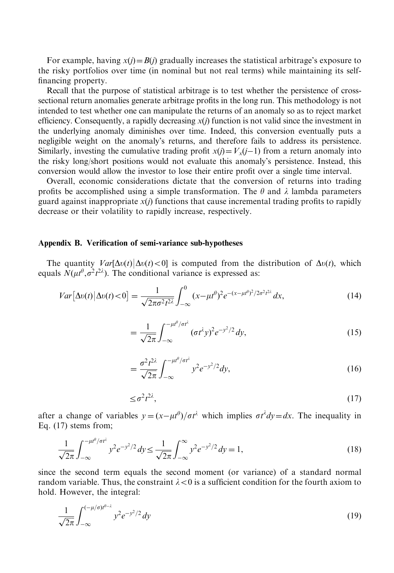<span id="page-32-0"></span>For example, having  $x(j) = B(j)$  gradually increases the statistical arbitrage's exposure to the risky portfolios over time (in nominal but not real terms) while maintaining its selffinancing property.

Recall that the purpose of statistical arbitrage is to test whether the persistence of crosssectional return anomalies generate arbitrage profits in the long run. This methodology is not intended to test whether one can manipulate the returns of an anomaly so as to reject market efficiency. Consequently, a rapidly decreasing  $x(j)$  function is not valid since the investment in the underlying anomaly diminishes over time. Indeed, this conversion eventually puts a negligible weight on the anomaly's returns, and therefore fails to address its persistence. Similarly, investing the cumulative trading profit  $x(i) = V_x(i-1)$  from a return anomaly into the risky long/short positions would not evaluate this anomaly's persistence. Instead, this conversion would allow the investor to lose their entire profit over a single time interval.

Overall, economic considerations dictate that the conversion of returns into trading profits be accomplished using a simple transformation. The  $\theta$  and  $\lambda$  lambda parameters guard against inappropriate  $x(j)$  functions that cause incremental trading profits to rapidly decrease or their volatility to rapidly increase, respectively.

# Appendix B. Verification of semi-variance sub-hypotheses

The quantity  $Var[\Delta v(t)|\Delta v(t) < 0]$  is computed from the distribution of  $\Delta v(t)$ , which equals  $N(\mu t^{\theta}, \sigma^2 t^{2\lambda})$ . The conditional variance is expressed as:

$$
Var\left[\Delta v(t)\middle|\Delta v(t)\right] = \frac{1}{\sqrt{2\pi\sigma^2 t^{2\lambda}}} \int_{-\infty}^0 (x - \mu t^{\theta})^2 e^{-(x - \mu t^{\theta})^2 / 2\sigma^2 t^{2\lambda}} dx,
$$
\n(14)

$$
=\frac{1}{\sqrt{2\pi}}\int_{-\infty}^{-\mu t^{\theta}/\sigma t^{\lambda}}(\sigma t^{\lambda}y)^{2}e^{-y^{2}/2}dy,
$$
\n(15)

$$
=\frac{\sigma^2 t^{2\lambda}}{\sqrt{2\pi}} \int_{-\infty}^{-\mu t^{\theta}/\sigma t^{\lambda}} y^2 e^{-y^2/2} dy,
$$
\n(16)

$$
\leq \sigma^2 t^{2\lambda},\tag{17}
$$

after a change of variables  $y = (x - \mu t^{\theta})/\sigma t^{\lambda}$  which implies  $\sigma t^{\lambda} dy = dx$ . The inequality in Eq. (17) stems from;

$$
\frac{1}{\sqrt{2\pi}} \int_{-\infty}^{-\mu t^{\theta}/\sigma t^{\lambda}} y^2 e^{-y^2/2} dy \le \frac{1}{\sqrt{2\pi}} \int_{-\infty}^{\infty} y^2 e^{-y^2/2} dy = 1,
$$
\n(18)

since the second term equals the second moment (or variance) of a standard normal random variable. Thus, the constraint  $\lambda < 0$  is a sufficient condition for the fourth axiom to hold. However, the integral:

$$
\frac{1}{\sqrt{2\pi}} \int_{-\infty}^{(-\mu/\sigma)t^{\theta-\lambda}} y^2 e^{-y^2/2} dy
$$
 (19)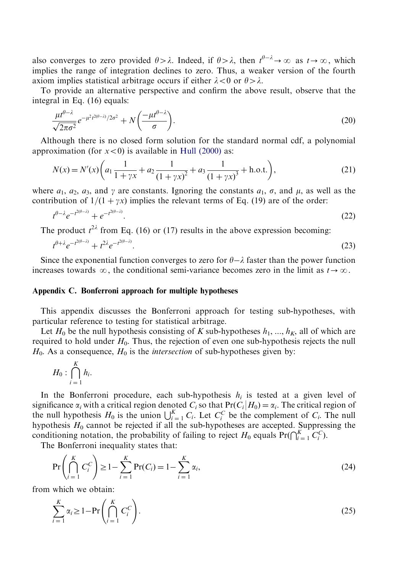<span id="page-33-0"></span>also converges to zero provided  $\theta > \lambda$ . Indeed, if  $\theta > \lambda$ , then  $t^{\theta - \lambda} \to \infty$  as  $t \to \infty$ , which implies the range of integration declines to zero. Thus, a weaker version of the fourth axiom implies statistical arbitrage occurs if either  $\lambda < 0$  or  $\theta > \lambda$ .

To provide an alternative perspective and confirm the above result, observe that the integral in Eq. (16) equals:

$$
\frac{\mu t^{\theta-\lambda}}{\sqrt{2\pi\sigma^2}}e^{-\mu^2t^{2(\theta-\lambda)}/2\sigma^2} + N\left(\frac{-\mu t^{\theta-\lambda}}{\sigma}\right).
$$
\n(20)

Although there is no closed form solution for the standard normal cdf, a polynomial approximation (for  $x < 0$ ) is available in [Hull \(2000\)](#page-35-0) as:

$$
N(x) = N'(x) \left( a_1 \frac{1}{1 + \gamma x} + a_2 \frac{1}{(1 + \gamma x)^2} + a_3 \frac{1}{(1 + \gamma x)^3} + \text{h.o.t.} \right),\tag{21}
$$

where  $a_1, a_2, a_3$ , and  $\gamma$  are constants. Ignoring the constants  $a_1, \sigma$ , and  $\mu$ , as well as the contribution of  $1/(1 + \gamma x)$  implies the relevant terms of Eq. (19) are of the order:

$$
t^{\theta - \lambda} e^{-t^{2(\theta - \lambda)}} + e^{-t^{2(\theta - \lambda)}}.
$$
\n(22)

The product  $t^{2\lambda}$  from Eq. (16) or (17) results in the above expression becoming:

$$
t^{\theta+\lambda}e^{-t^{2(\theta-\lambda)}} + t^{2\lambda}e^{-t^{2(\theta-\lambda)}}.\tag{23}
$$

Since the exponential function converges to zero for  $\theta - \lambda$  faster than the power function increases towards  $\infty$ , the conditional semi-variance becomes zero in the limit as  $t\to\infty$ .

### Appendix C. Bonferroni approach for multiple hypotheses

This appendix discusses the Bonferroni approach for testing sub-hypotheses, with particular reference to testing for statistical arbitrage.

Let  $H_0$  be the null hypothesis consisting of K sub-hypotheses  $h_1, ..., h_k$ , all of which are required to hold under  $H_0$ . Thus, the rejection of even one sub-hypothesis rejects the null  $H_0$ . As a consequence,  $H_0$  is the *intersection* of sub-hypotheses given by:

$$
H_0: \bigcap_{i=1}^K h_i.
$$

In the Bonferroni procedure, each sub-hypothesis  $h_i$  is tested at a given level of significance  $\alpha_i$  with a critical region denoted  $C_i$  so that  $Pr(C_i|H_0) = \alpha_i$ . The critical region of the null hypothesis  $H_0$  is the union  $\bigcup_{i=1}^{K} C_i$ . Let  $C_i^C$  be the complement of  $C_i$ . The null hypothesis  $H_0$  cannot be rejected if all the sub-hypotheses are accepted. Suppressing the conditioning notation, the probability of failing to reject  $H_0$  equals  $Pr(\bigcap_{i=1}^{K} C_i^C)$ .

The Bonferroni inequality states that:

$$
\Pr\left(\bigcap_{i=1}^{K} C_{i}^{C}\right) \ge 1 - \sum_{i=1}^{K} \Pr(C_{i}) = 1 - \sum_{i=1}^{K} \alpha_{i},\tag{24}
$$

from which we obtain:

$$
\sum_{i=1}^{K} \alpha_i \ge 1 - \Pr\left(\bigcap_{i=1}^{K} C_i^C\right). \tag{25}
$$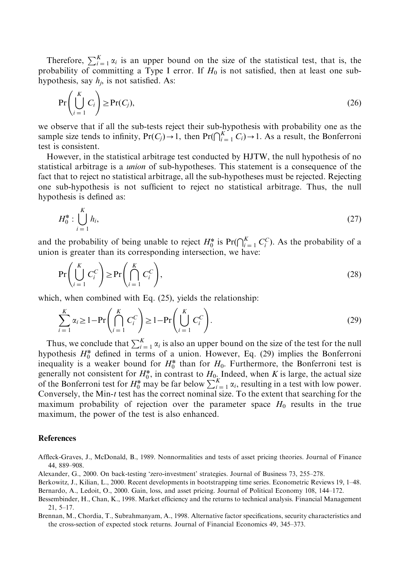<span id="page-34-0"></span>Therefore,  $\sum_{i=1}^{K} \alpha_i$  is an upper bound on the size of the statistical test, that is, the probability of committing a Type I error. If  $H_0$  is not satisfied, then at least one subhypothesis, say  $h_i$ , is not satisfied. As:

$$
\Pr\left(\bigcup_{i=1}^{K} C_i\right) \ge \Pr(C_j),\tag{26}
$$

we observe that if all the sub-tests reject their sub-hypothesis with probability one as the sample size tends to infinity,  $Pr(C_j) \rightarrow 1$ , then  $Pr(\bigcap_{i=1}^K C_i) \rightarrow 1$ . As a result, the Bonferroni test is consistent.

However, in the statistical arbitrage test conducted by HJTW, the null hypothesis of no statistical arbitrage is a union of sub-hypotheses. This statement is a consequence of the fact that to reject no statistical arbitrage, all the sub-hypotheses must be rejected. Rejecting one sub-hypothesis is not sufficient to reject no statistical arbitrage. Thus, the null hypothesis is defined as:

$$
H_0^* : \bigcup_{i=1}^K h_i,\tag{27}
$$

and the probability of being unable to reject  $H_0^*$  is  $Pr(\bigcap_{i=1}^K C_i^C)$ . As the probability of a union is greater than its corresponding intersection, we have:

$$
\Pr\left(\bigcup_{i=1}^{K} C_i^C\right) \ge \Pr\left(\bigcap_{i=1}^{K} C_i^C\right),\tag{28}
$$

which, when combined with Eq. (25), yields the relationship:

$$
\sum_{i=1}^{K} \alpha_i \ge 1 - \Pr\left(\bigcap_{i=1}^{K} C_i^C\right) \ge 1 - \Pr\left(\bigcup_{i=1}^{K} C_i^C\right). \tag{29}
$$

Thus, we conclude that  $\sum_{i=1}^{K} \alpha_i$  is also an upper bound on the size of the test for the null hypothesis  $H_0^*$  defined in terms of a union. However, Eq. (29) implies the Bonferroni inequality is a weaker bound for  $H_0^*$  than for  $H_0$ . Furthermore, the Bonferroni test is generally not consistent for  $H_0^*$ , in contrast to  $H_0$ . Indeed, when K is large, the actual size of the Bonferroni test for  $H_0^*$ , in contrast to  $H_0^{K}$ . There is, when I is high, the detail size of the Bonferroni test for  $H_0^*$  may be far below  $\sum_{i=1}^{K} \alpha_i$ , resulting in a test with low power. Conversely, the Min-t test has the correct nominal size. To the extent that searching for the maximum probability of rejection over the parameter space  $H_0$  results in the true maximum, the power of the test is also enhanced.

#### References

Affleck-Graves, J., McDonald, B., 1989. Nonnormalities and tests of asset pricing theories. Journal of Finance 44, 889–908.

Alexander, G., 2000. On back-testing 'zero-investment' strategies. Journal of Business 73, 255–278.

Berkowitz, J., Kilian, L., 2000. Recent developments in bootstrapping time series. Econometric Reviews 19, 1–48. Bernardo, A., Ledoit, O., 2000. Gain, loss, and asset pricing. Journal of Political Economy 108, 144–172.

Bessembinder, H., Chan, K., 1998. Market efficiency and the returns to technical analysis. Financial Management 21, 5–17.

Brennan, M., Chordia, T., Subrahmanyam, A., 1998. Alternative factor specifications, security characteristics and the cross-section of expected stock returns. Journal of Financial Economics 49, 345–373.